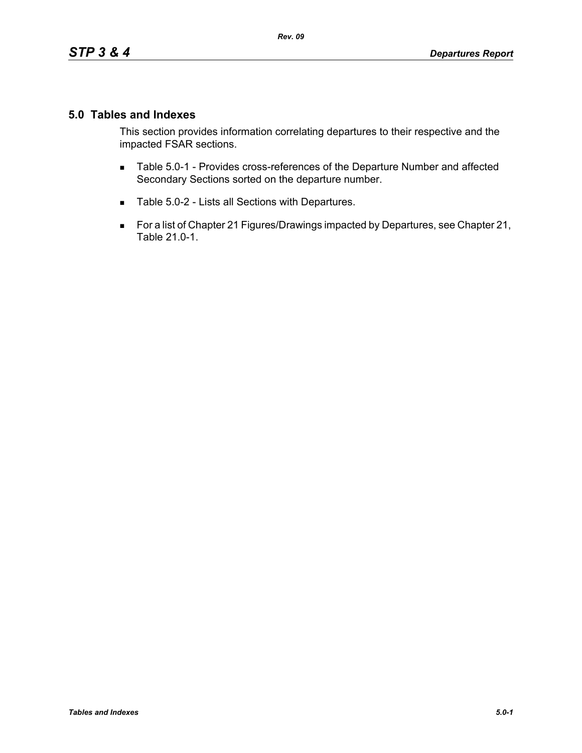## **5.0 Tables and Indexes**

This section provides information correlating departures to their respective and the impacted FSAR sections.

- **Table 5.0-1 Provides cross-references of the Departure Number and affected** Secondary Sections sorted on the departure number.
- Table 5.0-2 Lists all Sections with Departures.
- For a list of Chapter 21 Figures/Drawings impacted by Departures, see Chapter 21, Table 21.0-1.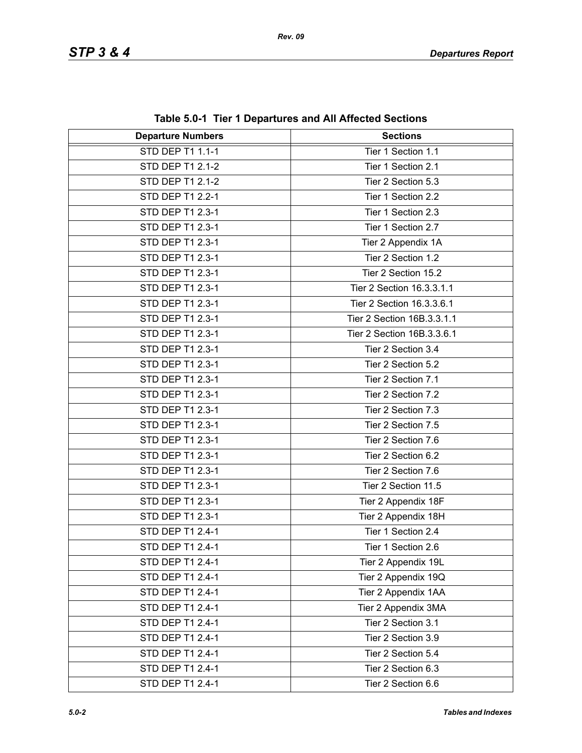| <b>Departure Numbers</b> | <b>Sections</b>            |
|--------------------------|----------------------------|
| <b>STD DEP T1 1.1-1</b>  | Tier 1 Section 1.1         |
| STD DEP T1 2.1-2         | Tier 1 Section 2.1         |
| STD DEP T1 2.1-2         | Tier 2 Section 5.3         |
| STD DEP T1 2.2-1         | Tier 1 Section 2.2         |
| STD DEP T1 2.3-1         | Tier 1 Section 2.3         |
| STD DEP T1 2.3-1         | Tier 1 Section 2.7         |
| STD DEP T1 2.3-1         | Tier 2 Appendix 1A         |
| STD DEP T1 2.3-1         | Tier 2 Section 1.2         |
| STD DEP T1 2.3-1         | Tier 2 Section 15.2        |
| STD DEP T1 2.3-1         | Tier 2 Section 16.3.3.1.1  |
| STD DEP T1 2.3-1         | Tier 2 Section 16.3.3.6.1  |
| STD DEP T1 2.3-1         | Tier 2 Section 16B.3.3.1.1 |
| STD DEP T1 2.3-1         | Tier 2 Section 16B.3.3.6.1 |
| STD DEP T1 2.3-1         | Tier 2 Section 3.4         |
| <b>STD DEP T1 2.3-1</b>  | Tier 2 Section 5.2         |
| STD DEP T1 2.3-1         | Tier 2 Section 7.1         |
| STD DEP T1 2.3-1         | Tier 2 Section 7.2         |
| STD DEP T1 2.3-1         | Tier 2 Section 7.3         |
| STD DEP T1 2.3-1         | Tier 2 Section 7.5         |
| STD DEP T1 2.3-1         | Tier 2 Section 7.6         |
| STD DEP T1 2.3-1         | Tier 2 Section 6.2         |
| STD DEP T1 2.3-1         | Tier 2 Section 7.6         |
| STD DEP T1 2.3-1         | Tier 2 Section 11.5        |
| STD DEP T1 2.3-1         | Tier 2 Appendix 18F        |
| STD DEP T1 2.3-1         | Tier 2 Appendix 18H        |
| STD DEP T1 2.4-1         | Tier 1 Section 2.4         |
| STD DEP T1 2.4-1         | Tier 1 Section 2.6         |
| STD DEP T1 2.4-1         | Tier 2 Appendix 19L        |
| STD DEP T1 2.4-1         | Tier 2 Appendix 19Q        |
| STD DEP T1 2.4-1         | Tier 2 Appendix 1AA        |
| STD DEP T1 2.4-1         | Tier 2 Appendix 3MA        |
| STD DEP T1 2.4-1         | Tier 2 Section 3.1         |
| STD DEP T1 2.4-1         | Tier 2 Section 3.9         |
| STD DEP T1 2.4-1         | Tier 2 Section 5.4         |
| STD DEP T1 2.4-1         | Tier 2 Section 6.3         |
| STD DEP T1 2.4-1         | Tier 2 Section 6.6         |

**Table 5.0-1 Tier 1 Departures and All Affected Sections**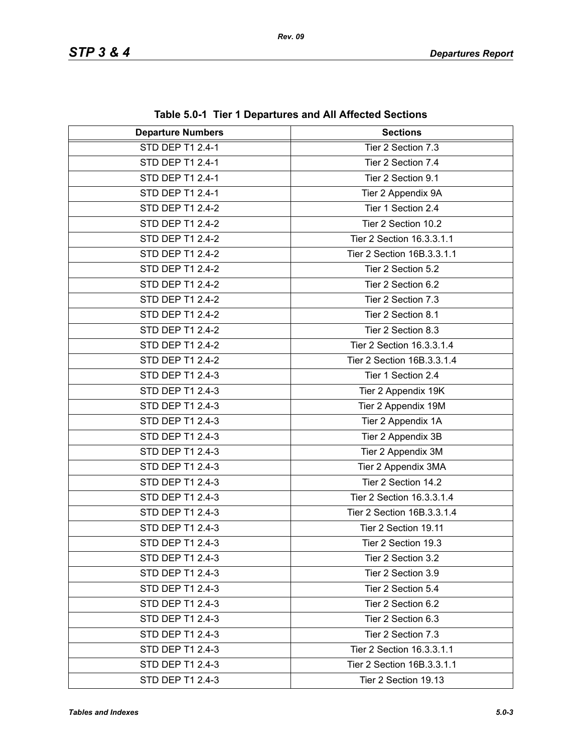| <b>Departure Numbers</b> | <b>Sections</b>            |
|--------------------------|----------------------------|
| <b>STD DEP T1 2.4-1</b>  | Tier 2 Section 7.3         |
| STD DEP T1 2.4-1         | Tier 2 Section 7.4         |
| STD DEP T1 2.4-1         | Tier 2 Section 9.1         |
| STD DEP T1 2.4-1         | Tier 2 Appendix 9A         |
| STD DEP T1 2.4-2         | Tier 1 Section 2.4         |
| STD DEP T1 2.4-2         | Tier 2 Section 10.2        |
| STD DEP T1 2.4-2         | Tier 2 Section 16.3.3.1.1  |
| STD DEP T1 2.4-2         | Tier 2 Section 16B.3.3.1.1 |
| STD DEP T1 2.4-2         | Tier 2 Section 5.2         |
| STD DEP T1 2.4-2         | Tier 2 Section 6.2         |
| STD DEP T1 2.4-2         | Tier 2 Section 7.3         |
| STD DEP T1 2.4-2         | Tier 2 Section 8.1         |
| STD DEP T1 2.4-2         | Tier 2 Section 8.3         |
| STD DEP T1 2.4-2         | Tier 2 Section 16.3.3.1.4  |
| STD DEP T1 2.4-2         | Tier 2 Section 16B.3.3.1.4 |
| STD DEP T1 2.4-3         | Tier 1 Section 2.4         |
| STD DEP T1 2.4-3         | Tier 2 Appendix 19K        |
| STD DEP T1 2.4-3         | Tier 2 Appendix 19M        |
| STD DEP T1 2.4-3         | Tier 2 Appendix 1A         |
| STD DEP T1 2.4-3         | Tier 2 Appendix 3B         |
| STD DEP T1 2.4-3         | Tier 2 Appendix 3M         |
| STD DEP T1 2.4-3         | Tier 2 Appendix 3MA        |
| STD DEP T1 2.4-3         | Tier 2 Section 14.2        |
| STD DEP T1 2.4-3         | Tier 2 Section 16.3.3.1.4  |
| STD DEP T1 2.4-3         | Tier 2 Section 16B.3.3.1.4 |
| STD DEP T1 2.4-3         | Tier 2 Section 19.11       |
| STD DEP T1 2.4-3         | Tier 2 Section 19.3        |
| STD DEP T1 2.4-3         | Tier 2 Section 3.2         |
| STD DEP T1 2.4-3         | Tier 2 Section 3.9         |
| STD DEP T1 2.4-3         | Tier 2 Section 5.4         |
| STD DEP T1 2.4-3         | Tier 2 Section 6.2         |
| STD DEP T1 2.4-3         | Tier 2 Section 6.3         |
| STD DEP T1 2.4-3         | Tier 2 Section 7.3         |
| STD DEP T1 2.4-3         | Tier 2 Section 16.3.3.1.1  |
| STD DEP T1 2.4-3         | Tier 2 Section 16B.3.3.1.1 |
| STD DEP T1 2.4-3         | Tier 2 Section 19.13       |

**Table 5.0-1 Tier 1 Departures and All Affected Sections**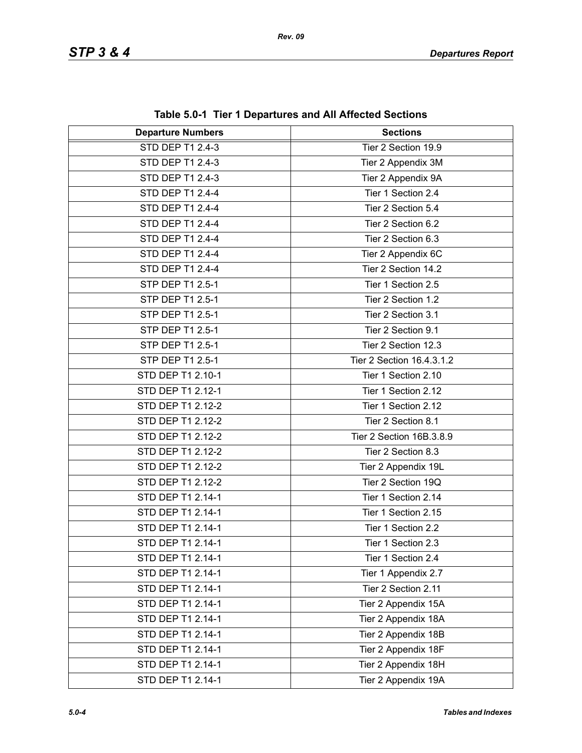| <b>Departure Numbers</b> | $\frac{1}{2}$ and $\frac{1}{2}$ . The TDepartures and All Anected Sections<br><b>Sections</b> |
|--------------------------|-----------------------------------------------------------------------------------------------|
| <b>STD DEP T1 2.4-3</b>  | Tier 2 Section 19.9                                                                           |
| STD DEP T1 2.4-3         |                                                                                               |
|                          | Tier 2 Appendix 3M                                                                            |
| STD DEP T1 2.4-3         | Tier 2 Appendix 9A                                                                            |
| STD DEP T1 2.4-4         | Tier 1 Section 2.4                                                                            |
| STD DEP T1 2.4-4         | Tier 2 Section 5.4                                                                            |
| STD DEP T1 2.4-4         | Tier 2 Section 6.2                                                                            |
| STD DEP T1 2.4-4         | Tier 2 Section 6.3                                                                            |
| STD DEP T1 2.4-4         | Tier 2 Appendix 6C                                                                            |
| STD DEP T1 2.4-4         | Tier 2 Section 14.2                                                                           |
| STP DEP T1 2.5-1         | Tier 1 Section 2.5                                                                            |
| STP DEP T1 2.5-1         | Tier 2 Section 1.2                                                                            |
| STP DEP T1 2.5-1         | Tier 2 Section 3.1                                                                            |
| STP DEP T1 2.5-1         | Tier 2 Section 9.1                                                                            |
| STP DEP T1 2.5-1         | Tier 2 Section 12.3                                                                           |
| STP DEP T1 2.5-1         | Tier 2 Section 16.4.3.1.2                                                                     |
| STD DEP T1 2.10-1        | Tier 1 Section 2.10                                                                           |
| STD DEP T1 2.12-1        | Tier 1 Section 2.12                                                                           |
| STD DEP T1 2.12-2        | Tier 1 Section 2.12                                                                           |
| STD DEP T1 2.12-2        | Tier 2 Section 8.1                                                                            |
| STD DEP T1 2.12-2        | Tier 2 Section 16B.3.8.9                                                                      |
| STD DEP T1 2.12-2        | Tier 2 Section 8.3                                                                            |
| STD DEP T1 2.12-2        | Tier 2 Appendix 19L                                                                           |
| STD DEP T1 2.12-2        | Tier 2 Section 19Q                                                                            |
| STD DEP T1 2.14-1        | Tier 1 Section 2.14                                                                           |
| STD DEP T1 2.14-1        | Tier 1 Section 2.15                                                                           |
| STD DEP T1 2.14-1        | Tier 1 Section 2.2                                                                            |
| STD DEP T1 2.14-1        | Tier 1 Section 2.3                                                                            |
| STD DEP T1 2.14-1        | Tier 1 Section 2.4                                                                            |
| STD DEP T1 2.14-1        | Tier 1 Appendix 2.7                                                                           |
| STD DEP T1 2.14-1        | Tier 2 Section 2.11                                                                           |
| STD DEP T1 2.14-1        | Tier 2 Appendix 15A                                                                           |
| STD DEP T1 2.14-1        | Tier 2 Appendix 18A                                                                           |
| STD DEP T1 2.14-1        | Tier 2 Appendix 18B                                                                           |
| STD DEP T1 2.14-1        | Tier 2 Appendix 18F                                                                           |
| STD DEP T1 2.14-1        | Tier 2 Appendix 18H                                                                           |
| STD DEP T1 2.14-1        | Tier 2 Appendix 19A                                                                           |

**Table 5.0-1 Tier 1 Departures and All Affected Sections**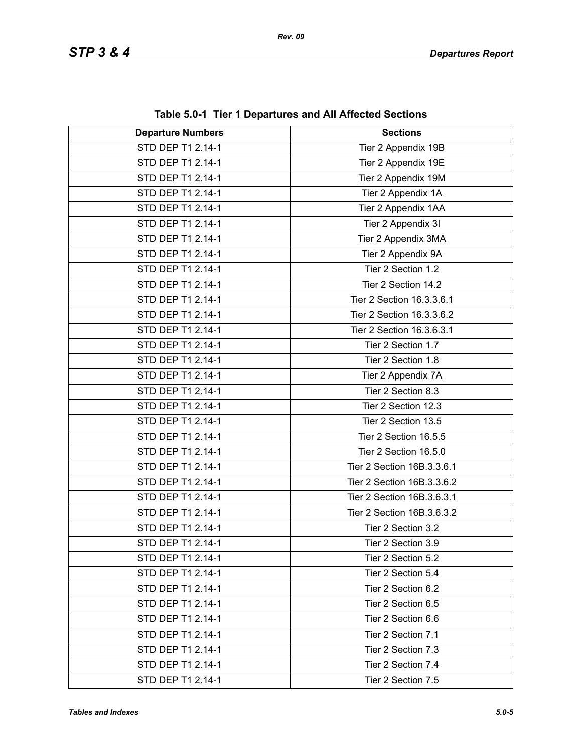| $\frac{1}{2}$ and $\frac{1}{2}$ . The TDepartures and All Anected Sections |                            |
|----------------------------------------------------------------------------|----------------------------|
| <b>Departure Numbers</b>                                                   | <b>Sections</b>            |
| STD DEP T1 2.14-1                                                          | Tier 2 Appendix 19B        |
| STD DEP T1 2.14-1                                                          | Tier 2 Appendix 19E        |
| STD DEP T1 2.14-1                                                          | Tier 2 Appendix 19M        |
| STD DEP T1 2.14-1                                                          | Tier 2 Appendix 1A         |
| STD DEP T1 2.14-1                                                          | Tier 2 Appendix 1AA        |
| STD DEP T1 2.14-1                                                          | Tier 2 Appendix 3I         |
| STD DEP T1 2.14-1                                                          | Tier 2 Appendix 3MA        |
| STD DEP T1 2.14-1                                                          | Tier 2 Appendix 9A         |
| STD DEP T1 2.14-1                                                          | Tier 2 Section 1.2         |
| STD DEP T1 2.14-1                                                          | Tier 2 Section 14.2        |
| STD DEP T1 2.14-1                                                          | Tier 2 Section 16.3.3.6.1  |
| STD DEP T1 2.14-1                                                          | Tier 2 Section 16.3.3.6.2  |
| STD DEP T1 2.14-1                                                          | Tier 2 Section 16.3.6.3.1  |
| STD DEP T1 2.14-1                                                          | Tier 2 Section 1.7         |
| STD DEP T1 2.14-1                                                          | Tier 2 Section 1.8         |
| STD DEP T1 2.14-1                                                          | Tier 2 Appendix 7A         |
| STD DEP T1 2.14-1                                                          | Tier 2 Section 8.3         |
| STD DEP T1 2.14-1                                                          | Tier 2 Section 12.3        |
| STD DEP T1 2.14-1                                                          | Tier 2 Section 13.5        |
| STD DEP T1 2.14-1                                                          | Tier 2 Section 16.5.5      |
| STD DEP T1 2.14-1                                                          | Tier 2 Section 16.5.0      |
| STD DEP T1 2.14-1                                                          | Tier 2 Section 16B.3.3.6.1 |
| STD DEP T1 2.14-1                                                          | Tier 2 Section 16B.3.3.6.2 |
| STD DEP T1 2.14-1                                                          | Tier 2 Section 16B.3.6.3.1 |
| STD DEP T1 2.14-1                                                          | Tier 2 Section 16B.3.6.3.2 |
| STD DEP T1 2.14-1                                                          | Tier 2 Section 3.2         |
| STD DEP T1 2.14-1                                                          | Tier 2 Section 3.9         |
| STD DEP T1 2.14-1                                                          | Tier 2 Section 5.2         |
| STD DEP T1 2.14-1                                                          | Tier 2 Section 5.4         |
| STD DEP T1 2.14-1                                                          | Tier 2 Section 6.2         |
| STD DEP T1 2.14-1                                                          | Tier 2 Section 6.5         |
| STD DEP T1 2.14-1                                                          | Tier 2 Section 6.6         |
| STD DEP T1 2.14-1                                                          | Tier 2 Section 7.1         |
| STD DEP T1 2.14-1                                                          | Tier 2 Section 7.3         |
| STD DEP T1 2.14-1                                                          | Tier 2 Section 7.4         |
| STD DEP T1 2.14-1                                                          | Tier 2 Section 7.5         |

**Table 5.0-1 Tier 1 Departures and All Affected Sections**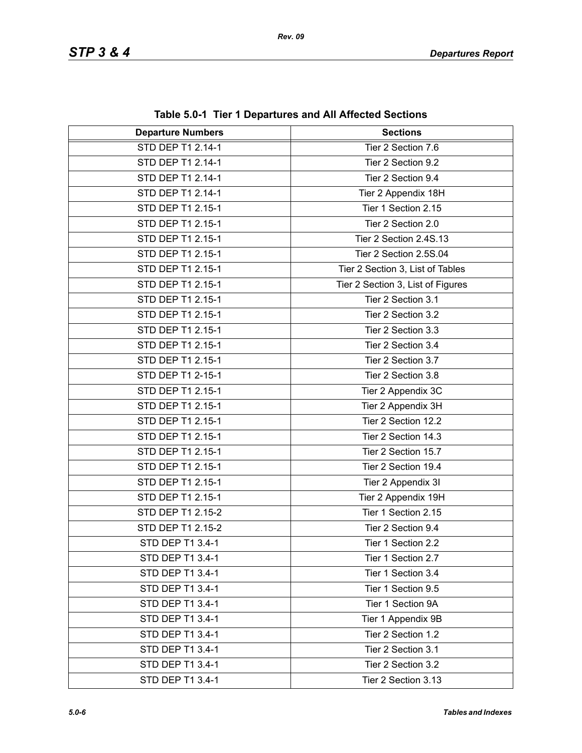| <b>Departure Numbers</b> | $1000$ v.v. The TD begin turbs and Amaphotod Occupits<br><b>Sections</b> |
|--------------------------|--------------------------------------------------------------------------|
| STD DEP T1 2.14-1        | Tier 2 Section 7.6                                                       |
| STD DEP T1 2.14-1        | Tier 2 Section 9.2                                                       |
| STD DEP T1 2.14-1        | Tier 2 Section 9.4                                                       |
| STD DEP T1 2.14-1        | Tier 2 Appendix 18H                                                      |
| STD DEP T1 2.15-1        | Tier 1 Section 2.15                                                      |
| STD DEP T1 2.15-1        | Tier 2 Section 2.0                                                       |
| STD DEP T1 2.15-1        | Tier 2 Section 2.4S.13                                                   |
| STD DEP T1 2.15-1        | Tier 2 Section 2.5S.04                                                   |
| STD DEP T1 2.15-1        | Tier 2 Section 3, List of Tables                                         |
| STD DEP T1 2.15-1        | Tier 2 Section 3, List of Figures                                        |
| STD DEP T1 2.15-1        | Tier 2 Section 3.1                                                       |
| STD DEP T1 2.15-1        | Tier 2 Section 3.2                                                       |
| STD DEP T1 2.15-1        | Tier 2 Section 3.3                                                       |
| STD DEP T1 2.15-1        | Tier 2 Section 3.4                                                       |
| STD DEP T1 2.15-1        | Tier 2 Section 3.7                                                       |
| STD DEP T1 2-15-1        | Tier 2 Section 3.8                                                       |
| STD DEP T1 2.15-1        | Tier 2 Appendix 3C                                                       |
| STD DEP T1 2.15-1        | Tier 2 Appendix 3H                                                       |
| STD DEP T1 2.15-1        | Tier 2 Section 12.2                                                      |
| STD DEP T1 2.15-1        | Tier 2 Section 14.3                                                      |
| STD DEP T1 2.15-1        | Tier 2 Section 15.7                                                      |
| STD DEP T1 2.15-1        | Tier 2 Section 19.4                                                      |
| STD DEP T1 2.15-1        | Tier 2 Appendix 3I                                                       |
| STD DEP T1 2.15-1        | Tier 2 Appendix 19H                                                      |
| STD DEP T1 2.15-2        | Tier 1 Section 2.15                                                      |
| STD DEP T1 2.15-2        | Tier 2 Section 9.4                                                       |
| STD DEP T1 3.4-1         | Tier 1 Section 2.2                                                       |
| STD DEP T1 3.4-1         | Tier 1 Section 2.7                                                       |
| STD DEP T1 3.4-1         | Tier 1 Section 3.4                                                       |
| STD DEP T1 3.4-1         | Tier 1 Section 9.5                                                       |
| STD DEP T1 3.4-1         | Tier 1 Section 9A                                                        |
| STD DEP T1 3.4-1         | Tier 1 Appendix 9B                                                       |
| STD DEP T1 3.4-1         | Tier 2 Section 1.2                                                       |
| STD DEP T1 3.4-1         | Tier 2 Section 3.1                                                       |
| STD DEP T1 3.4-1         | Tier 2 Section 3.2                                                       |
| STD DEP T1 3.4-1         | Tier 2 Section 3.13                                                      |

**Table 5.0-1 Tier 1 Departures and All Affected Sections**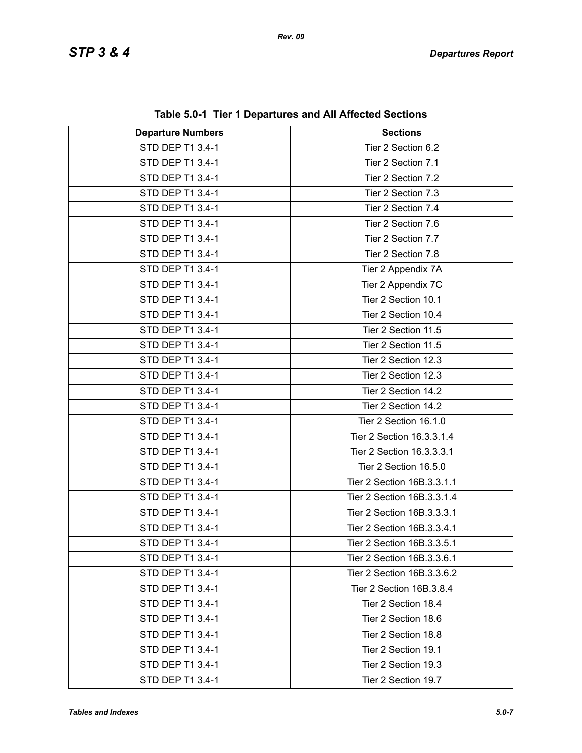| <b>Departure Numbers</b> | rable J.0-1 Tier T Departures and All Affected Occupits<br><b>Sections</b> |
|--------------------------|----------------------------------------------------------------------------|
| <b>STD DEP T1 3.4-1</b>  | Tier 2 Section 6.2                                                         |
| STD DEP T1 3.4-1         | Tier 2 Section 7.1                                                         |
| STD DEP T1 3.4-1         | Tier 2 Section 7.2                                                         |
| STD DEP T1 3.4-1         | Tier 2 Section 7.3                                                         |
| STD DEP T1 3.4-1         | Tier 2 Section 7.4                                                         |
| STD DEP T1 3.4-1         | Tier 2 Section 7.6                                                         |
| STD DEP T1 3.4-1         | Tier 2 Section 7.7                                                         |
| STD DEP T1 3.4-1         | Tier 2 Section 7.8                                                         |
| STD DEP T1 3.4-1         | Tier 2 Appendix 7A                                                         |
| STD DEP T1 3.4-1         | Tier 2 Appendix 7C                                                         |
| STD DEP T1 3.4-1         | Tier 2 Section 10.1                                                        |
| STD DEP T1 3.4-1         | Tier 2 Section 10.4                                                        |
| STD DEP T1 3.4-1         | Tier 2 Section 11.5                                                        |
| STD DEP T1 3.4-1         | Tier 2 Section 11.5                                                        |
| STD DEP T1 3.4-1         | Tier 2 Section 12.3                                                        |
| STD DEP T1 3.4-1         | Tier 2 Section 12.3                                                        |
| STD DEP T1 3.4-1         | Tier 2 Section 14.2                                                        |
| STD DEP T1 3.4-1         | Tier 2 Section 14.2                                                        |
| STD DEP T1 3.4-1         | Tier 2 Section 16.1.0                                                      |
| STD DEP T1 3.4-1         | Tier 2 Section 16.3.3.1.4                                                  |
| STD DEP T1 3.4-1         | Tier 2 Section 16.3.3.3.1                                                  |
| STD DEP T1 3.4-1         | Tier 2 Section 16.5.0                                                      |
| STD DEP T1 3.4-1         | Tier 2 Section 16B.3.3.1.1                                                 |
| STD DEP T1 3.4-1         | Tier 2 Section 16B.3.3.1.4                                                 |
| STD DEP T1 3.4-1         | Tier 2 Section 16B.3.3.3.1                                                 |
| STD DEP T1 3.4-1         | Tier 2 Section 16B.3.3.4.1                                                 |
| STD DEP T1 3.4-1         | Tier 2 Section 16B.3.3.5.1                                                 |
| STD DEP T1 3.4-1         | Tier 2 Section 16B.3.3.6.1                                                 |
| STD DEP T1 3.4-1         | Tier 2 Section 16B.3.3.6.2                                                 |
| STD DEP T1 3.4-1         | Tier 2 Section 16B.3.8.4                                                   |
| STD DEP T1 3.4-1         | Tier 2 Section 18.4                                                        |
| STD DEP T1 3.4-1         | Tier 2 Section 18.6                                                        |
| STD DEP T1 3.4-1         | Tier 2 Section 18.8                                                        |
| STD DEP T1 3.4-1         | Tier 2 Section 19.1                                                        |
| STD DEP T1 3.4-1         | Tier 2 Section 19.3                                                        |
| STD DEP T1 3.4-1         | Tier 2 Section 19.7                                                        |

**Table 5.0-1 Tier 1 Departures and All Affected Sections**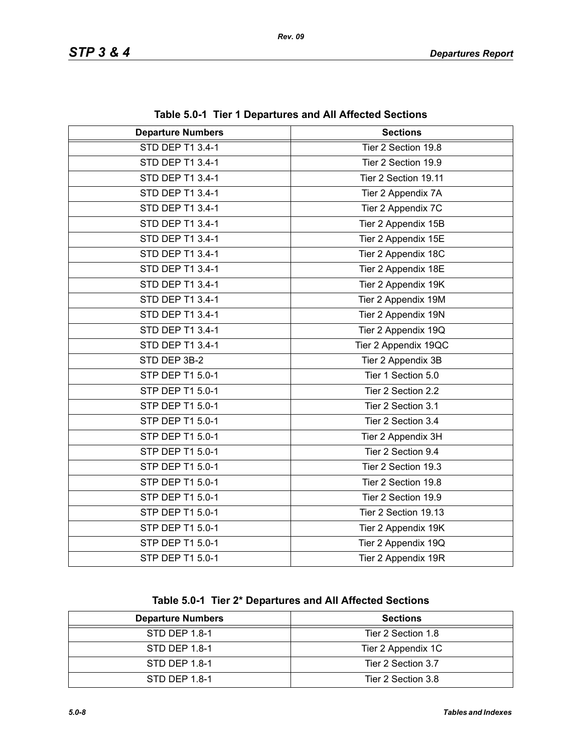| <b>Departure Numbers</b> | <b>Sections</b>      |
|--------------------------|----------------------|
| <b>STD DEP T1 3.4-1</b>  | Tier 2 Section 19.8  |
| STD DEP T1 3.4-1         | Tier 2 Section 19.9  |
| STD DEP T1 3.4-1         | Tier 2 Section 19.11 |
| STD DEP T1 3.4-1         | Tier 2 Appendix 7A   |
| STD DEP T1 3.4-1         | Tier 2 Appendix 7C   |
| STD DEP T1 3.4-1         | Tier 2 Appendix 15B  |
| STD DEP T1 3.4-1         | Tier 2 Appendix 15E  |
| STD DEP T1 3.4-1         | Tier 2 Appendix 18C  |
| STD DEP T1 3.4-1         | Tier 2 Appendix 18E  |
| STD DEP T1 3.4-1         | Tier 2 Appendix 19K  |
| STD DEP T1 3.4-1         | Tier 2 Appendix 19M  |
| STD DEP T1 3.4-1         | Tier 2 Appendix 19N  |
| STD DEP T1 3.4-1         | Tier 2 Appendix 19Q  |
| STD DEP T1 3.4-1         | Tier 2 Appendix 19QC |
| STD DEP 3B-2             | Tier 2 Appendix 3B   |
| STP DEP T1 5.0-1         | Tier 1 Section 5.0   |
| STP DEP T1 5.0-1         | Tier 2 Section 2.2   |
| STP DEP T1 5.0-1         | Tier 2 Section 3.1   |
| STP DEP T1 5.0-1         | Tier 2 Section 3.4   |
| STP DEP T1 5.0-1         | Tier 2 Appendix 3H   |
| STP DEP T1 5.0-1         | Tier 2 Section 9.4   |
| STP DEP T1 5.0-1         | Tier 2 Section 19.3  |
| STP DEP T1 5.0-1         | Tier 2 Section 19.8  |
| STP DEP T1 5.0-1         | Tier 2 Section 19.9  |
| STP DEP T1 5.0-1         | Tier 2 Section 19.13 |
| STP DEP T1 5.0-1         | Tier 2 Appendix 19K  |
| STP DEP T1 5.0-1         | Tier 2 Appendix 19Q  |
| STP DEP T1 5.0-1         | Tier 2 Appendix 19R  |

**Table 5.0-1 Tier 1 Departures and All Affected Sections**

**Table 5.0-1 Tier 2\* Departures and All Affected Sections**

| <b>Departure Numbers</b> | <b>Sections</b>    |
|--------------------------|--------------------|
| STD DEP 1.8-1            | Tier 2 Section 1.8 |
| STD DEP 1.8-1            | Tier 2 Appendix 1C |
| STD DEP 1.8-1            | Tier 2 Section 3.7 |
| STD DEP 1.8-1            | Tier 2 Section 3.8 |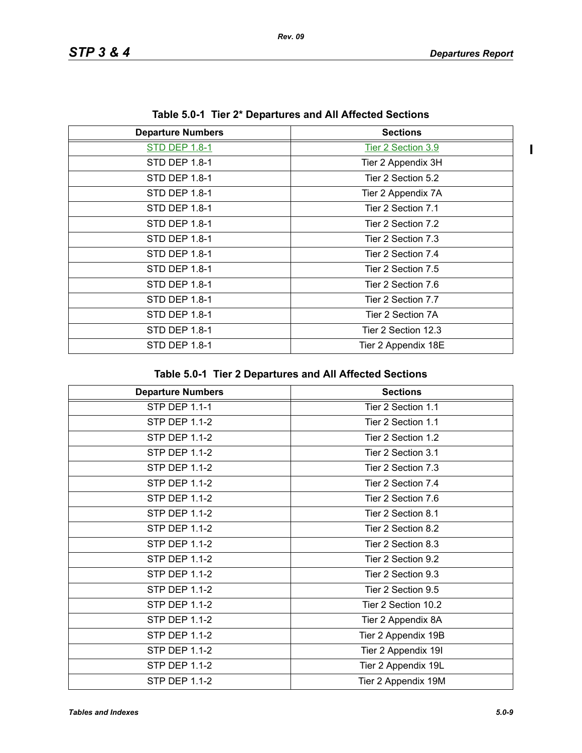$\mathbf{I}$ 

| rapic 0.0 <sup>-</sup> 1 Tier 2 Departures and An Anected Oecubiis |  |
|--------------------------------------------------------------------|--|
| <b>Sections</b>                                                    |  |
| Tier 2 Section 3.9                                                 |  |
| Tier 2 Appendix 3H                                                 |  |
| Tier 2 Section 5.2                                                 |  |
| Tier 2 Appendix 7A                                                 |  |
| Tier 2 Section 7.1                                                 |  |
| Tier 2 Section 7.2                                                 |  |
| Tier 2 Section 7.3                                                 |  |
| Tier 2 Section 7.4                                                 |  |
| Tier 2 Section 7.5                                                 |  |
| Tier 2 Section 7.6                                                 |  |
| Tier 2 Section 7.7                                                 |  |
| Tier 2 Section 7A                                                  |  |
| Tier 2 Section 12.3                                                |  |
| Tier 2 Appendix 18E                                                |  |
|                                                                    |  |

**Table 5.0-1 Tier 2\* Departures and All Affected Sections**

| Table 5.0-1 Tier 2 Departures and All Affected Sections |
|---------------------------------------------------------|
|---------------------------------------------------------|

| <b>Departure Numbers</b> | <b>Sections</b>     |
|--------------------------|---------------------|
| <b>STP DEP 1.1-1</b>     | Tier 2 Section 1.1  |
| <b>STP DEP 1.1-2</b>     | Tier 2 Section 1.1  |
| <b>STP DEP 1.1-2</b>     | Tier 2 Section 1.2  |
| STP DEP 1.1-2            | Tier 2 Section 3.1  |
| <b>STP DEP 1.1-2</b>     | Tier 2 Section 7.3  |
| <b>STP DEP 1.1-2</b>     | Tier 2 Section 7.4  |
| <b>STP DEP 1.1-2</b>     | Tier 2 Section 7.6  |
| <b>STP DEP 1.1-2</b>     | Tier 2 Section 8.1  |
| <b>STP DEP 1.1-2</b>     | Tier 2 Section 8.2  |
| <b>STP DEP 1.1-2</b>     | Tier 2 Section 8.3  |
| <b>STP DEP 1.1-2</b>     | Tier 2 Section 9.2  |
| <b>STP DEP 1.1-2</b>     | Tier 2 Section 9.3  |
| STP DEP 1.1-2            | Tier 2 Section 9.5  |
| STP DEP 1.1-2            | Tier 2 Section 10.2 |
| <b>STP DEP 1.1-2</b>     | Tier 2 Appendix 8A  |
| <b>STP DEP 1.1-2</b>     | Tier 2 Appendix 19B |
| <b>STP DEP 1.1-2</b>     | Tier 2 Appendix 19I |
| <b>STP DEP 1.1-2</b>     | Tier 2 Appendix 19L |
| STP DEP 1.1-2            | Tier 2 Appendix 19M |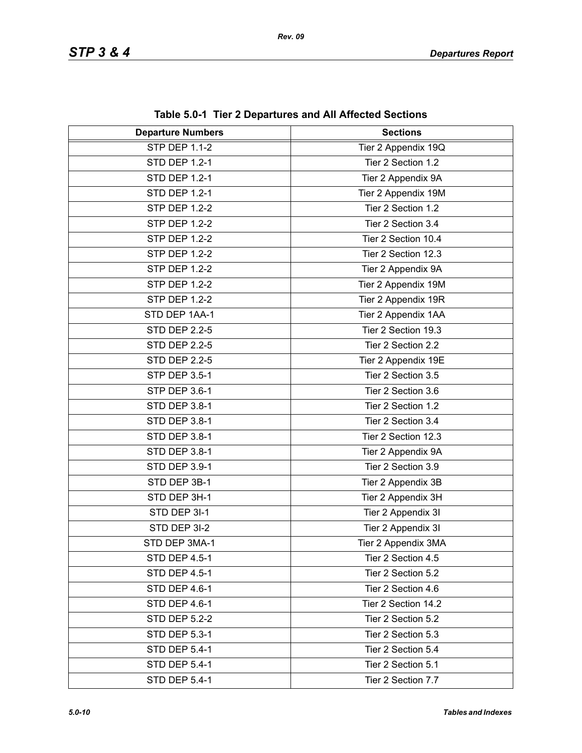| <b>Departure Numbers</b> | $\frac{1}{2}$<br><b>Sections</b> |
|--------------------------|----------------------------------|
| <b>STP DEP 1.1-2</b>     | Tier 2 Appendix 19Q              |
| <b>STD DEP 1.2-1</b>     | Tier 2 Section 1.2               |
| <b>STD DEP 1.2-1</b>     | Tier 2 Appendix 9A               |
| <b>STD DEP 1.2-1</b>     | Tier 2 Appendix 19M              |
| <b>STP DEP 1.2-2</b>     | Tier 2 Section 1.2               |
| <b>STP DEP 1.2-2</b>     | Tier 2 Section 3.4               |
| <b>STP DEP 1.2-2</b>     | Tier 2 Section 10.4              |
| <b>STP DEP 1.2-2</b>     | Tier 2 Section 12.3              |
| <b>STP DEP 1.2-2</b>     | Tier 2 Appendix 9A               |
| <b>STP DEP 1.2-2</b>     | Tier 2 Appendix 19M              |
| <b>STP DEP 1.2-2</b>     | Tier 2 Appendix 19R              |
| STD DEP 1AA-1            | Tier 2 Appendix 1AA              |
| <b>STD DEP 2.2-5</b>     | Tier 2 Section 19.3              |
| <b>STD DEP 2.2-5</b>     | Tier 2 Section 2.2               |
| <b>STD DEP 2.2-5</b>     | Tier 2 Appendix 19E              |
| <b>STP DEP 3.5-1</b>     | Tier 2 Section 3.5               |
| STP DEP 3.6-1            | Tier 2 Section 3.6               |
| STD DEP 3.8-1            | Tier 2 Section 1.2               |
| STD DEP 3.8-1            | Tier 2 Section 3.4               |
| STD DEP 3.8-1            | Tier 2 Section 12.3              |
| STD DEP 3.8-1            | Tier 2 Appendix 9A               |
| STD DEP 3.9-1            | Tier 2 Section 3.9               |
| STD DEP 3B-1             | Tier 2 Appendix 3B               |
| STD DEP 3H-1             | Tier 2 Appendix 3H               |
| STD DEP 3I-1             | Tier 2 Appendix 3I               |
| STD DEP 3I-2             | Tier 2 Appendix 3I               |
| STD DEP 3MA-1            | Tier 2 Appendix 3MA              |
| <b>STD DEP 4.5-1</b>     | Tier 2 Section 4.5               |
| STD DEP 4.5-1            | Tier 2 Section 5.2               |
| STD DEP 4.6-1            | Tier 2 Section 4.6               |
| STD DEP 4.6-1            | Tier 2 Section 14.2              |
| <b>STD DEP 5.2-2</b>     | Tier 2 Section 5.2               |
| <b>STD DEP 5.3-1</b>     | Tier 2 Section 5.3               |
| STD DEP 5.4-1            | Tier 2 Section 5.4               |
| STD DEP 5.4-1            | Tier 2 Section 5.1               |
| <b>STD DEP 5.4-1</b>     | Tier 2 Section 7.7               |

**Table 5.0-1 Tier 2 Departures and All Affected Sections**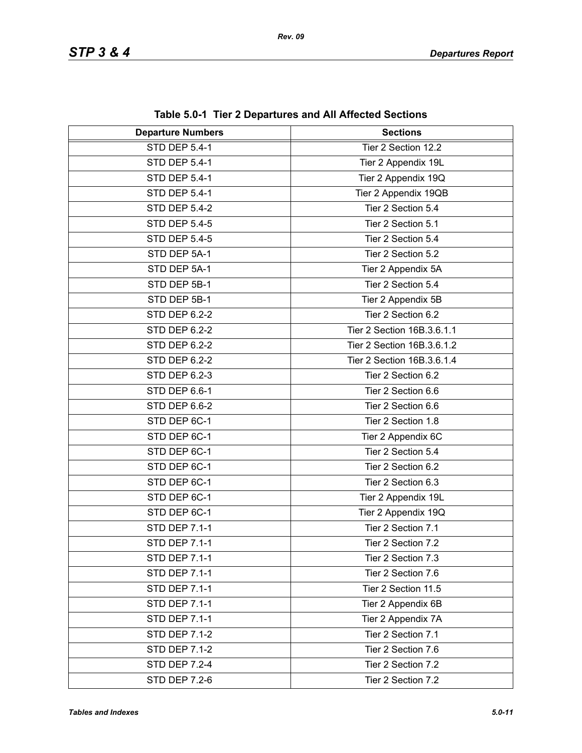| <b>Departure Numbers</b> | $\frac{1}{2}$ and $\frac{1}{2}$ and $\frac{1}{2}$ behaviored the summary control of $\frac{1}{2}$<br><b>Sections</b> |
|--------------------------|----------------------------------------------------------------------------------------------------------------------|
| <b>STD DEP 5.4-1</b>     | Tier 2 Section 12.2                                                                                                  |
| <b>STD DEP 5.4-1</b>     | Tier 2 Appendix 19L                                                                                                  |
| STD DEP 5.4-1            | Tier 2 Appendix 19Q                                                                                                  |
| <b>STD DEP 5.4-1</b>     | Tier 2 Appendix 19QB                                                                                                 |
| <b>STD DEP 5.4-2</b>     | Tier 2 Section 5.4                                                                                                   |
| <b>STD DEP 5.4-5</b>     | Tier 2 Section 5.1                                                                                                   |
| <b>STD DEP 5.4-5</b>     | Tier 2 Section 5.4                                                                                                   |
| STD DEP 5A-1             | Tier 2 Section 5.2                                                                                                   |
| STD DEP 5A-1             | Tier 2 Appendix 5A                                                                                                   |
| STD DEP 5B-1             | Tier 2 Section 5.4                                                                                                   |
|                          |                                                                                                                      |
| STD DEP 5B-1             | Tier 2 Appendix 5B                                                                                                   |
| STD DEP 6.2-2            | Tier 2 Section 6.2                                                                                                   |
| <b>STD DEP 6.2-2</b>     | Tier 2 Section 16B.3.6.1.1                                                                                           |
| STD DEP 6.2-2            | Tier 2 Section 16B.3.6.1.2                                                                                           |
| STD DEP 6.2-2            | Tier 2 Section 16B.3.6.1.4                                                                                           |
| STD DEP 6.2-3            | Tier 2 Section 6.2                                                                                                   |
| STD DEP 6.6-1            | Tier 2 Section 6.6                                                                                                   |
| STD DEP 6.6-2            | Tier 2 Section 6.6                                                                                                   |
| STD DEP 6C-1             | Tier 2 Section 1.8                                                                                                   |
| STD DEP 6C-1             | Tier 2 Appendix 6C                                                                                                   |
| STD DEP 6C-1             | Tier 2 Section 5.4                                                                                                   |
| STD DEP 6C-1             | Tier 2 Section 6.2                                                                                                   |
| STD DEP 6C-1             | Tier 2 Section 6.3                                                                                                   |
| STD DEP 6C-1             | Tier 2 Appendix 19L                                                                                                  |
| STD DEP 6C-1             | Tier 2 Appendix 19Q                                                                                                  |
| STD DEP 7.1-1            | Tier 2 Section 7.1                                                                                                   |
| STD DEP 7.1-1            | Tier 2 Section 7.2                                                                                                   |
| <b>STD DEP 7.1-1</b>     | Tier 2 Section 7.3                                                                                                   |
| <b>STD DEP 7.1-1</b>     | Tier 2 Section 7.6                                                                                                   |
| <b>STD DEP 7.1-1</b>     | Tier 2 Section 11.5                                                                                                  |
| <b>STD DEP 7.1-1</b>     | Tier 2 Appendix 6B                                                                                                   |
| <b>STD DEP 7.1-1</b>     | Tier 2 Appendix 7A                                                                                                   |
| <b>STD DEP 7.1-2</b>     | Tier 2 Section 7.1                                                                                                   |
| <b>STD DEP 7.1-2</b>     | Tier 2 Section 7.6                                                                                                   |
| <b>STD DEP 7.2-4</b>     | Tier 2 Section 7.2                                                                                                   |
| <b>STD DEP 7.2-6</b>     | Tier 2 Section 7.2                                                                                                   |

**Table 5.0-1 Tier 2 Departures and All Affected Sections**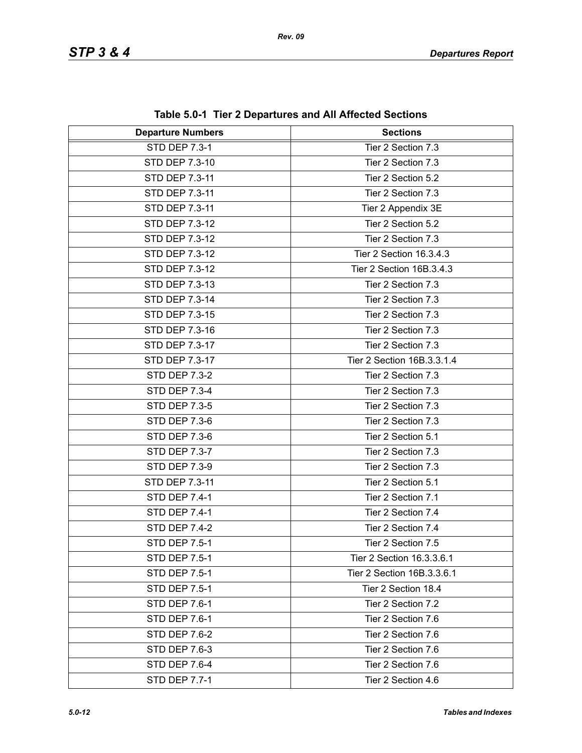| <b>Departure Numbers</b> | <b>Sections</b>            |
|--------------------------|----------------------------|
| <b>STD DEP 7.3-1</b>     | Tier 2 Section 7.3         |
| STD DEP 7.3-10           | Tier 2 Section 7.3         |
| STD DEP 7.3-11           | Tier 2 Section 5.2         |
| STD DEP 7.3-11           | Tier 2 Section 7.3         |
| STD DEP 7.3-11           | Tier 2 Appendix 3E         |
| <b>STD DEP 7.3-12</b>    | Tier 2 Section 5.2         |
| STD DEP 7.3-12           | Tier 2 Section 7.3         |
| STD DEP 7.3-12           | Tier 2 Section 16.3.4.3    |
| STD DEP 7.3-12           | Tier 2 Section 16B.3.4.3   |
| STD DEP 7.3-13           | Tier 2 Section 7.3         |
| STD DEP 7.3-14           | Tier 2 Section 7.3         |
| STD DEP 7.3-15           | Tier 2 Section 7.3         |
| STD DEP 7.3-16           | Tier 2 Section 7.3         |
| STD DEP 7.3-17           | Tier 2 Section 7.3         |
| STD DEP 7.3-17           | Tier 2 Section 16B.3.3.1.4 |
| <b>STD DEP 7.3-2</b>     | Tier 2 Section 7.3         |
| <b>STD DEP 7.3-4</b>     | Tier 2 Section 7.3         |
| <b>STD DEP 7.3-5</b>     | Tier 2 Section 7.3         |
| <b>STD DEP 7.3-6</b>     | Tier 2 Section 7.3         |
| <b>STD DEP 7.3-6</b>     | Tier 2 Section 5.1         |
| STD DEP 7.3-7            | Tier 2 Section 7.3         |
| <b>STD DEP 7.3-9</b>     | Tier 2 Section 7.3         |
| STD DEP 7.3-11           | Tier 2 Section 5.1         |
| <b>STD DEP 7.4-1</b>     | Tier 2 Section 7.1         |
| STD DEP 7.4-1            | Tier 2 Section 7.4         |
| <b>STD DEP 7.4-2</b>     | Tier 2 Section 7.4         |
| STD DEP 7.5-1            | Tier 2 Section 7.5         |
| STD DEP 7.5-1            | Tier 2 Section 16.3.3.6.1  |
| <b>STD DEP 7.5-1</b>     | Tier 2 Section 16B.3.3.6.1 |
| <b>STD DEP 7.5-1</b>     | Tier 2 Section 18.4        |
| <b>STD DEP 7.6-1</b>     | Tier 2 Section 7.2         |
| STD DEP 7.6-1            | Tier 2 Section 7.6         |
| STD DEP 7.6-2            | Tier 2 Section 7.6         |
| <b>STD DEP 7.6-3</b>     | Tier 2 Section 7.6         |
| STD DEP 7.6-4            | Tier 2 Section 7.6         |
| <b>STD DEP 7.7-1</b>     | Tier 2 Section 4.6         |

**Table 5.0-1 Tier 2 Departures and All Affected Sections**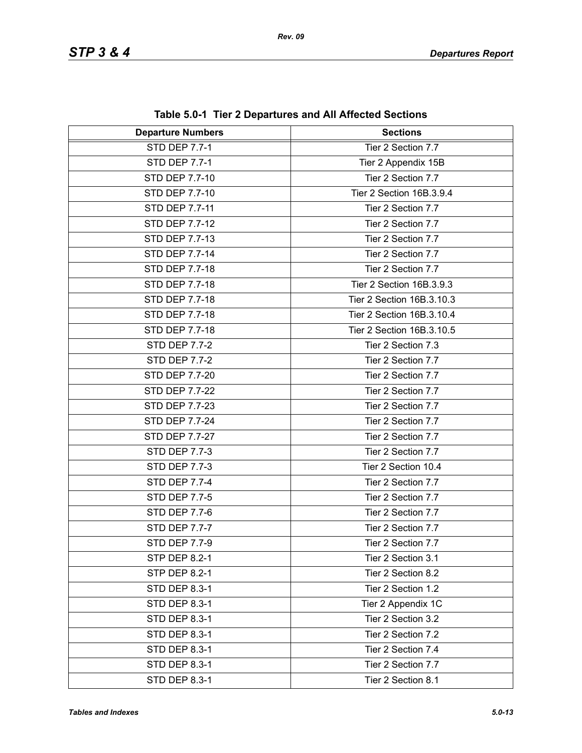| <b>Departure Numbers</b> | <b>Sections</b>           |
|--------------------------|---------------------------|
| <b>STD DEP 7.7-1</b>     | Tier 2 Section 7.7        |
| <b>STD DEP 7.7-1</b>     | Tier 2 Appendix 15B       |
| <b>STD DEP 7.7-10</b>    | Tier 2 Section 7.7        |
| STD DEP 7.7-10           | Tier 2 Section 16B.3.9.4  |
| STD DEP 7.7-11           | Tier 2 Section 7.7        |
| <b>STD DEP 7.7-12</b>    | Tier 2 Section 7.7        |
| STD DEP 7.7-13           | Tier 2 Section 7.7        |
| STD DEP 7.7-14           | Tier 2 Section 7.7        |
| STD DEP 7.7-18           | Tier 2 Section 7.7        |
| STD DEP 7.7-18           | Tier 2 Section 16B.3.9.3  |
| STD DEP 7.7-18           | Tier 2 Section 16B.3.10.3 |
| <b>STD DEP 7.7-18</b>    | Tier 2 Section 16B.3.10.4 |
| STD DEP 7.7-18           | Tier 2 Section 16B.3.10.5 |
| <b>STD DEP 7.7-2</b>     | Tier 2 Section 7.3        |
| <b>STD DEP 7.7-2</b>     | Tier 2 Section 7.7        |
| STD DEP 7.7-20           | Tier 2 Section 7.7        |
| <b>STD DEP 7.7-22</b>    | Tier 2 Section 7.7        |
| STD DEP 7.7-23           | Tier 2 Section 7.7        |
| STD DEP 7.7-24           | Tier 2 Section 7.7        |
| STD DEP 7.7-27           | Tier 2 Section 7.7        |
| <b>STD DEP 7.7-3</b>     | Tier 2 Section 7.7        |
| <b>STD DEP 7.7-3</b>     | Tier 2 Section 10.4       |
| <b>STD DEP 7.7-4</b>     | Tier 2 Section 7.7        |
| <b>STD DEP 7.7-5</b>     | Tier 2 Section 7.7        |
| <b>STD DEP 7.7-6</b>     | Tier 2 Section 7.7        |
| STD DEP 7.7-7            | Tier 2 Section 7.7        |
| STD DEP 7.7-9            | Tier 2 Section 7.7        |
| <b>STP DEP 8.2-1</b>     | Tier 2 Section 3.1        |
| <b>STP DEP 8.2-1</b>     | Tier 2 Section 8.2        |
| <b>STD DEP 8.3-1</b>     | Tier 2 Section 1.2        |
| <b>STD DEP 8.3-1</b>     | Tier 2 Appendix 1C        |
| STD DEP 8.3-1            | Tier 2 Section 3.2        |
| <b>STD DEP 8.3-1</b>     | Tier 2 Section 7.2        |
| <b>STD DEP 8.3-1</b>     | Tier 2 Section 7.4        |
| STD DEP 8.3-1            | Tier 2 Section 7.7        |
| STD DEP 8.3-1            | Tier 2 Section 8.1        |

**Table 5.0-1 Tier 2 Departures and All Affected Sections**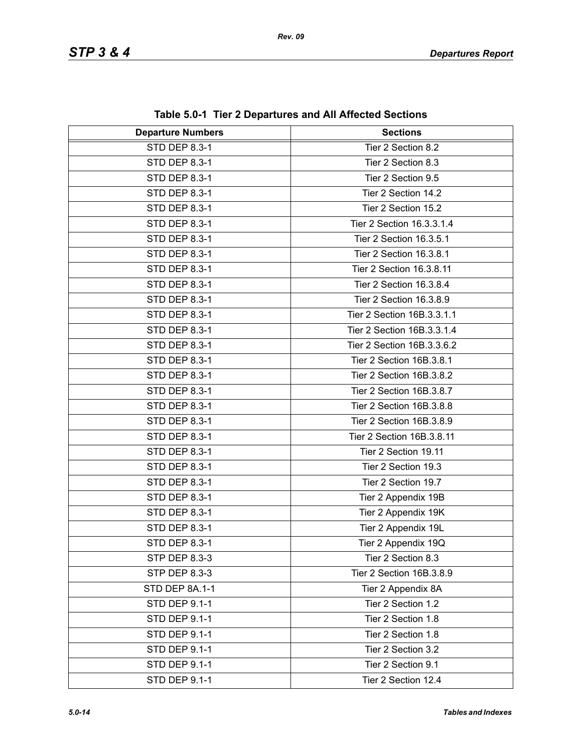| <b>Departure Numbers</b> | <b>Sections</b>            |
|--------------------------|----------------------------|
| STD DEP 8.3-1            | Tier 2 Section 8.2         |
| STD DEP 8.3-1            | Tier 2 Section 8.3         |
| STD DEP 8.3-1            | Tier 2 Section 9.5         |
| STD DEP 8.3-1            | Tier 2 Section 14.2        |
| STD DEP 8.3-1            | Tier 2 Section 15.2        |
| STD DEP 8.3-1            | Tier 2 Section 16.3.3.1.4  |
| STD DEP 8.3-1            | Tier 2 Section 16.3.5.1    |
| STD DEP 8.3-1            | Tier 2 Section 16.3.8.1    |
| STD DEP 8.3-1            | Tier 2 Section 16.3.8.11   |
| STD DEP 8.3-1            | Tier 2 Section 16.3.8.4    |
| STD DEP 8.3-1            | Tier 2 Section 16.3.8.9    |
| STD DEP 8.3-1            | Tier 2 Section 16B.3.3.1.1 |
| STD DEP 8.3-1            | Tier 2 Section 16B.3.3.1.4 |
| STD DEP 8.3-1            | Tier 2 Section 16B.3.3.6.2 |
| STD DEP 8.3-1            | Tier 2 Section 16B.3.8.1   |
| STD DEP 8.3-1            | Tier 2 Section 16B.3.8.2   |
| STD DEP 8.3-1            | Tier 2 Section 16B.3.8.7   |
| STD DEP 8.3-1            | Tier 2 Section 16B.3.8.8   |
| STD DEP 8.3-1            | Tier 2 Section 16B.3.8.9   |
| STD DEP 8.3-1            | Tier 2 Section 16B.3.8.11  |
| STD DEP 8.3-1            | Tier 2 Section 19.11       |
| STD DEP 8.3-1            | Tier 2 Section 19.3        |
| STD DEP 8.3-1            | Tier 2 Section 19.7        |
| STD DEP 8.3-1            | Tier 2 Appendix 19B        |
| STD DEP 8.3-1            | Tier 2 Appendix 19K        |
| <b>STD DEP 8.3-1</b>     | Tier 2 Appendix 19L        |
| STD DEP 8.3-1            | Tier 2 Appendix 19Q        |
| STP DEP 8.3-3            | Tier 2 Section 8.3         |
| STP DEP 8.3-3            | Tier 2 Section 16B.3.8.9   |
| STD DEP 8A.1-1           | Tier 2 Appendix 8A         |
| STD DEP 9.1-1            | Tier 2 Section 1.2         |
| STD DEP 9.1-1            | Tier 2 Section 1.8         |
| STD DEP 9.1-1            | Tier 2 Section 1.8         |
| STD DEP 9.1-1            | Tier 2 Section 3.2         |
| STD DEP 9.1-1            | Tier 2 Section 9.1         |
| <b>STD DEP 9.1-1</b>     | Tier 2 Section 12.4        |

**Table 5.0-1 Tier 2 Departures and All Affected Sections**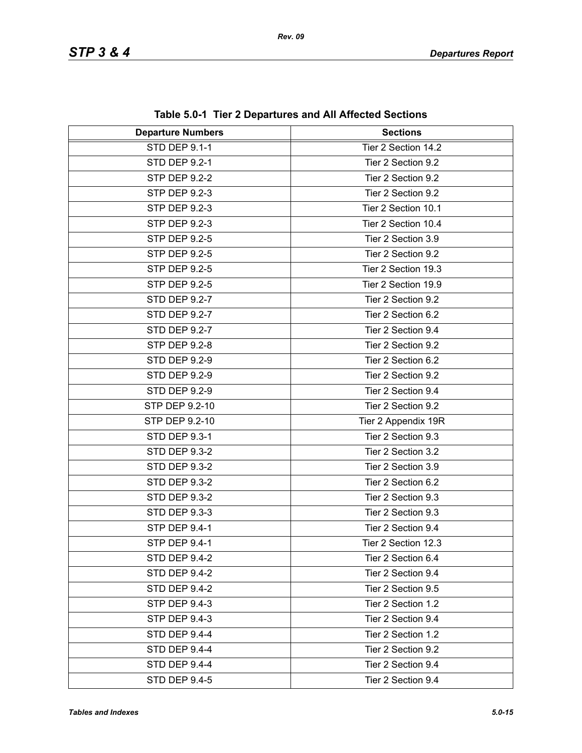| <b>Departure Numbers</b> | $1000$ vive $1001$ $\leq$ Departates and American Occupits<br><b>Sections</b> |
|--------------------------|-------------------------------------------------------------------------------|
| STD DEP 9.1-1            | Tier 2 Section 14.2                                                           |
|                          |                                                                               |
| STD DEP 9.2-1            | Tier 2 Section 9.2                                                            |
| <b>STP DEP 9.2-2</b>     | Tier 2 Section 9.2                                                            |
| STP DEP 9.2-3            | Tier 2 Section 9.2                                                            |
| STP DEP 9.2-3            | Tier 2 Section 10.1                                                           |
| STP DEP 9.2-3            | Tier 2 Section 10.4                                                           |
| STP DEP 9.2-5            | Tier 2 Section 3.9                                                            |
| STP DEP 9.2-5            | Tier 2 Section 9.2                                                            |
| STP DEP 9.2-5            | Tier 2 Section 19.3                                                           |
| STP DEP 9.2-5            | Tier 2 Section 19.9                                                           |
| <b>STD DEP 9.2-7</b>     | Tier 2 Section 9.2                                                            |
| <b>STD DEP 9.2-7</b>     | Tier 2 Section 6.2                                                            |
| <b>STD DEP 9.2-7</b>     | Tier 2 Section 9.4                                                            |
| <b>STP DEP 9.2-8</b>     | Tier 2 Section 9.2                                                            |
| <b>STD DEP 9.2-9</b>     | Tier 2 Section 6.2                                                            |
| <b>STD DEP 9.2-9</b>     | Tier 2 Section 9.2                                                            |
| <b>STD DEP 9.2-9</b>     | Tier 2 Section 9.4                                                            |
| STP DEP 9.2-10           | Tier 2 Section 9.2                                                            |
| STP DEP 9.2-10           | Tier 2 Appendix 19R                                                           |
| STD DEP 9.3-1            | Tier 2 Section 9.3                                                            |
| <b>STD DEP 9.3-2</b>     | Tier 2 Section 3.2                                                            |
| <b>STD DEP 9.3-2</b>     | Tier 2 Section 3.9                                                            |
| <b>STD DEP 9.3-2</b>     | Tier 2 Section 6.2                                                            |
| <b>STD DEP 9.3-2</b>     | Tier 2 Section 9.3                                                            |
| STD DEP 9.3-3            | Tier 2 Section 9.3                                                            |
| <b>STP DEP 9.4-1</b>     | Tier 2 Section 9.4                                                            |
| STP DEP 9.4-1            | Tier 2 Section 12.3                                                           |
| <b>STD DEP 9.4-2</b>     | Tier 2 Section 6.4                                                            |
| <b>STD DEP 9.4-2</b>     | Tier 2 Section 9.4                                                            |
| <b>STD DEP 9.4-2</b>     | Tier 2 Section 9.5                                                            |
| STP DEP 9.4-3            | Tier 2 Section 1.2                                                            |
| STP DEP 9.4-3            | Tier 2 Section 9.4                                                            |
| STD DEP 9.4-4            | Tier 2 Section 1.2                                                            |
| STD DEP 9.4-4            | Tier 2 Section 9.2                                                            |
| <b>STD DEP 9.4-4</b>     | Tier 2 Section 9.4                                                            |
| <b>STD DEP 9.4-5</b>     | Tier 2 Section 9.4                                                            |

**Table 5.0-1 Tier 2 Departures and All Affected Sections**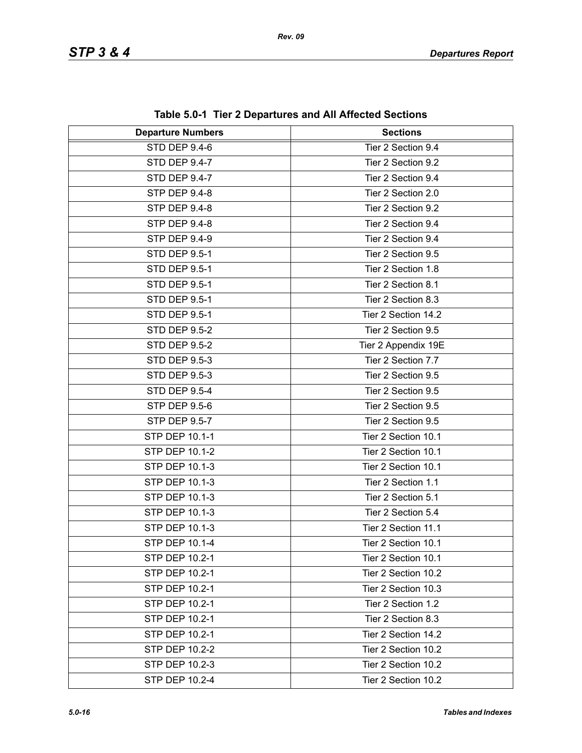| <b>Departure Numbers</b> | <b>Sections</b>     |
|--------------------------|---------------------|
| STD DEP 9.4-6            | Tier 2 Section 9.4  |
| STD DEP 9.4-7            | Tier 2 Section 9.2  |
| STD DEP 9.4-7            | Tier 2 Section 9.4  |
| STP DEP 9.4-8            | Tier 2 Section 2.0  |
| STP DEP 9.4-8            | Tier 2 Section 9.2  |
| <b>STP DEP 9.4-8</b>     | Tier 2 Section 9.4  |
| STP DEP 9.4-9            | Tier 2 Section 9.4  |
| <b>STD DEP 9.5-1</b>     | Tier 2 Section 9.5  |
| <b>STD DEP 9.5-1</b>     | Tier 2 Section 1.8  |
| <b>STD DEP 9.5-1</b>     | Tier 2 Section 8.1  |
| <b>STD DEP 9.5-1</b>     | Tier 2 Section 8.3  |
| <b>STD DEP 9.5-1</b>     | Tier 2 Section 14.2 |
| <b>STD DEP 9.5-2</b>     | Tier 2 Section 9.5  |
| <b>STD DEP 9.5-2</b>     | Tier 2 Appendix 19E |
| <b>STD DEP 9.5-3</b>     | Tier 2 Section 7.7  |
| STD DEP 9.5-3            | Tier 2 Section 9.5  |
| <b>STD DEP 9.5-4</b>     | Tier 2 Section 9.5  |
| <b>STP DEP 9.5-6</b>     | Tier 2 Section 9.5  |
| STP DEP 9.5-7            | Tier 2 Section 9.5  |
| STP DEP 10.1-1           | Tier 2 Section 10.1 |
| STP DEP 10.1-2           | Tier 2 Section 10.1 |
| STP DEP 10.1-3           | Tier 2 Section 10.1 |
| STP DEP 10.1-3           | Tier 2 Section 1.1  |
| STP DEP 10.1-3           | Tier 2 Section 5.1  |
| STP DEP 10.1-3           | Tier 2 Section 5.4  |
| STP DEP 10.1-3           | Tier 2 Section 11.1 |
| STP DEP 10.1-4           | Tier 2 Section 10.1 |
| STP DEP 10.2-1           | Tier 2 Section 10.1 |
| STP DEP 10.2-1           | Tier 2 Section 10.2 |
| STP DEP 10.2-1           | Tier 2 Section 10.3 |
| STP DEP 10.2-1           | Tier 2 Section 1.2  |
| STP DEP 10.2-1           | Tier 2 Section 8.3  |
| STP DEP 10.2-1           | Tier 2 Section 14.2 |
| STP DEP 10.2-2           | Tier 2 Section 10.2 |
| STP DEP 10.2-3           | Tier 2 Section 10.2 |
| STP DEP 10.2-4           | Tier 2 Section 10.2 |

**Table 5.0-1 Tier 2 Departures and All Affected Sections**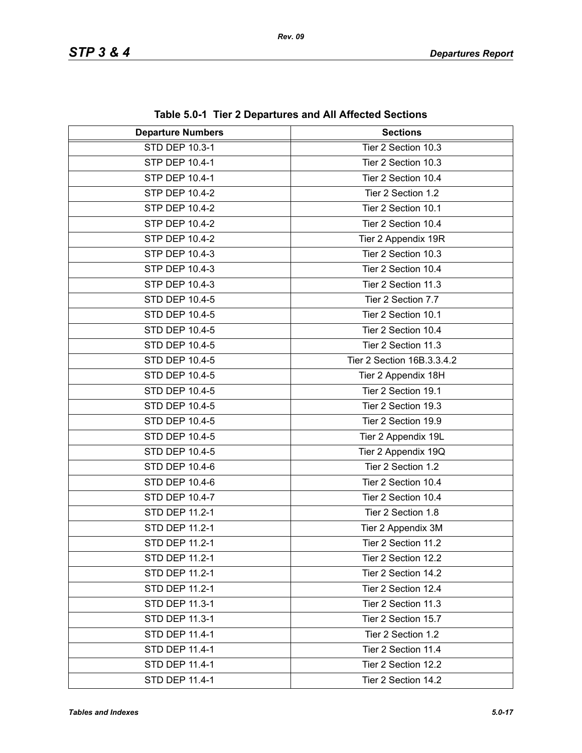| <b>Departure Numbers</b> | <b>Sections</b>            |
|--------------------------|----------------------------|
| STD DEP 10.3-1           | Tier 2 Section 10.3        |
| STP DEP 10.4-1           | Tier 2 Section 10.3        |
| STP DEP 10.4-1           | Tier 2 Section 10.4        |
| STP DEP 10.4-2           | Tier 2 Section 1.2         |
| STP DEP 10.4-2           | Tier 2 Section 10.1        |
| STP DEP 10.4-2           | Tier 2 Section 10.4        |
| STP DEP 10.4-2           | Tier 2 Appendix 19R        |
| STP DEP 10.4-3           | Tier 2 Section 10.3        |
| STP DEP 10.4-3           | Tier 2 Section 10.4        |
| STP DEP 10.4-3           | Tier 2 Section 11.3        |
| STD DEP 10.4-5           | Tier 2 Section 7.7         |
| STD DEP 10.4-5           | Tier 2 Section 10.1        |
| STD DEP 10.4-5           | Tier 2 Section 10.4        |
| STD DEP 10.4-5           | Tier 2 Section 11.3        |
| STD DEP 10.4-5           | Tier 2 Section 16B.3.3.4.2 |
| <b>STD DEP 10.4-5</b>    | Tier 2 Appendix 18H        |
| STD DEP 10.4-5           | Tier 2 Section 19.1        |
| STD DEP 10.4-5           | Tier 2 Section 19.3        |
| STD DEP 10.4-5           | Tier 2 Section 19.9        |
| STD DEP 10.4-5           | Tier 2 Appendix 19L        |
| STD DEP 10.4-5           | Tier 2 Appendix 19Q        |
| STD DEP 10.4-6           | Tier 2 Section 1.2         |
| STD DEP 10.4-6           | Tier 2 Section 10.4        |
| STD DEP 10.4-7           | Tier 2 Section 10.4        |
| STD DEP 11.2-1           | Tier 2 Section 1.8         |
| STD DEP 11.2-1           | Tier 2 Appendix 3M         |
| STD DEP 11.2-1           | Tier 2 Section 11.2        |
| STD DEP 11.2-1           | Tier 2 Section 12.2        |
| STD DEP 11.2-1           | Tier 2 Section 14.2        |
| STD DEP 11.2-1           | Tier 2 Section 12.4        |
| STD DEP 11.3-1           | Tier 2 Section 11.3        |
| STD DEP 11.3-1           | Tier 2 Section 15.7        |
| STD DEP 11.4-1           | Tier 2 Section 1.2         |
| STD DEP 11.4-1           | Tier 2 Section 11.4        |
| STD DEP 11.4-1           | Tier 2 Section 12.2        |
| STD DEP 11.4-1           | Tier 2 Section 14.2        |

**Table 5.0-1 Tier 2 Departures and All Affected Sections**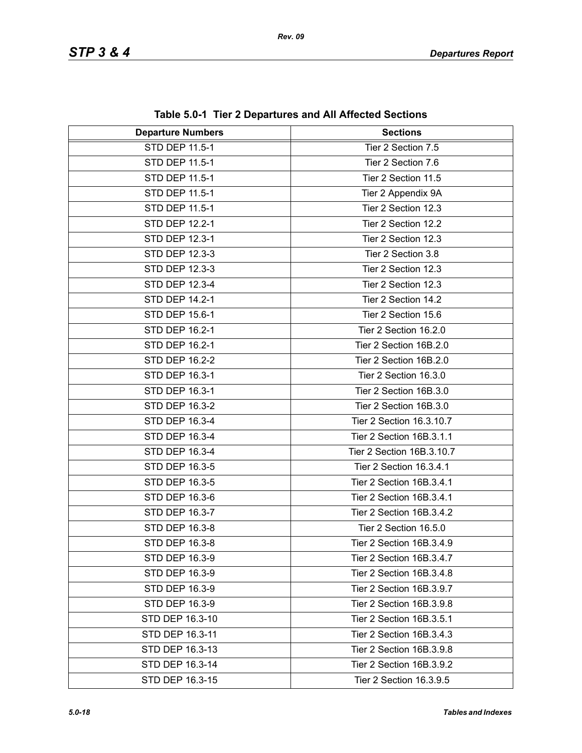| <b>Departure Numbers</b> | <b>Sections</b>           |
|--------------------------|---------------------------|
| <b>STD DEP 11.5-1</b>    | Tier 2 Section 7.5        |
| STD DEP 11.5-1           | Tier 2 Section 7.6        |
| STD DEP 11.5-1           | Tier 2 Section 11.5       |
| STD DEP 11.5-1           | Tier 2 Appendix 9A        |
| STD DEP 11.5-1           | Tier 2 Section 12.3       |
| STD DEP 12.2-1           | Tier 2 Section 12.2       |
| STD DEP 12.3-1           | Tier 2 Section 12.3       |
| STD DEP 12.3-3           | Tier 2 Section 3.8        |
| STD DEP 12.3-3           | Tier 2 Section 12.3       |
| STD DEP 12.3-4           | Tier 2 Section 12.3       |
| STD DEP 14.2-1           | Tier 2 Section 14.2       |
| STD DEP 15.6-1           | Tier 2 Section 15.6       |
| STD DEP 16.2-1           | Tier 2 Section 16.2.0     |
| STD DEP 16.2-1           | Tier 2 Section 16B.2.0    |
| STD DEP 16.2-2           | Tier 2 Section 16B.2.0    |
| STD DEP 16.3-1           | Tier 2 Section 16.3.0     |
| STD DEP 16.3-1           | Tier 2 Section 16B.3.0    |
| STD DEP 16.3-2           | Tier 2 Section 16B.3.0    |
| STD DEP 16.3-4           | Tier 2 Section 16.3.10.7  |
| STD DEP 16.3-4           | Tier 2 Section 16B.3.1.1  |
| STD DEP 16.3-4           | Tier 2 Section 16B.3.10.7 |
| STD DEP 16.3-5           | Tier 2 Section 16.3.4.1   |
| STD DEP 16.3-5           | Tier 2 Section 16B.3.4.1  |
| STD DEP 16.3-6           | Tier 2 Section 16B.3.4.1  |
| STD DEP 16.3-7           | Tier 2 Section 16B.3.4.2  |
| STD DEP 16.3-8           | Tier 2 Section 16.5.0     |
| STD DEP 16.3-8           | Tier 2 Section 16B.3.4.9  |
| STD DEP 16.3-9           | Tier 2 Section 16B.3.4.7  |
| STD DEP 16.3-9           | Tier 2 Section 16B.3.4.8  |
| STD DEP 16.3-9           | Tier 2 Section 16B.3.9.7  |
| STD DEP 16.3-9           | Tier 2 Section 16B.3.9.8  |
| STD DEP 16.3-10          | Tier 2 Section 16B.3.5.1  |
| STD DEP 16.3-11          | Tier 2 Section 16B.3.4.3  |
| STD DEP 16.3-13          | Tier 2 Section 16B.3.9.8  |
| STD DEP 16.3-14          | Tier 2 Section 16B.3.9.2  |
| STD DEP 16.3-15          | Tier 2 Section 16.3.9.5   |

**Table 5.0-1 Tier 2 Departures and All Affected Sections**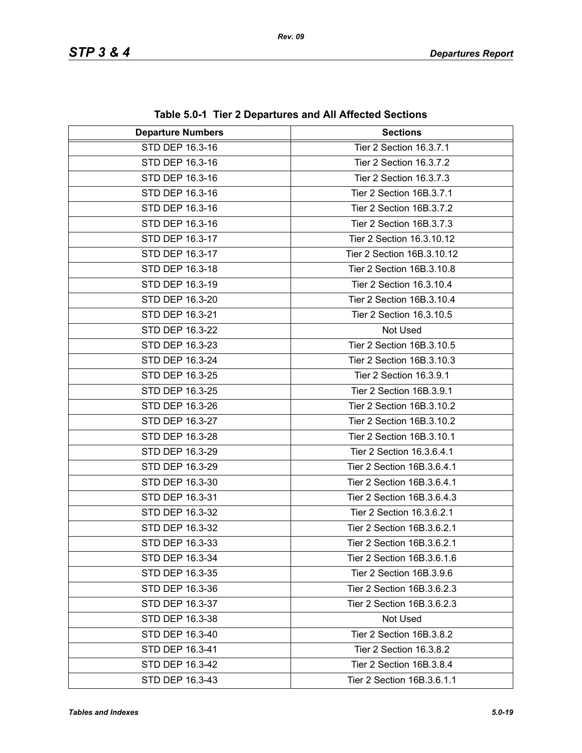| <b>Departure Numbers</b> | <b>Sections</b>            |
|--------------------------|----------------------------|
| STD DEP 16.3-16          | Tier 2 Section 16.3.7.1    |
| STD DEP 16.3-16          | Tier 2 Section 16.3.7.2    |
| STD DEP 16.3-16          | Tier 2 Section 16.3.7.3    |
| STD DEP 16.3-16          | Tier 2 Section 16B.3.7.1   |
| STD DEP 16.3-16          | Tier 2 Section 16B.3.7.2   |
| STD DEP 16.3-16          | Tier 2 Section 16B.3.7.3   |
| STD DEP 16.3-17          | Tier 2 Section 16.3.10.12  |
| STD DEP 16.3-17          | Tier 2 Section 16B.3.10.12 |
| STD DEP 16.3-18          | Tier 2 Section 16B.3.10.8  |
| STD DEP 16.3-19          | Tier 2 Section 16.3.10.4   |
| STD DEP 16.3-20          | Tier 2 Section 16B.3.10.4  |
| STD DEP 16.3-21          | Tier 2 Section 16.3.10.5   |
| STD DEP 16.3-22          | Not Used                   |
| STD DEP 16.3-23          | Tier 2 Section 16B.3.10.5  |
| STD DEP 16.3-24          | Tier 2 Section 16B.3.10.3  |
| STD DEP 16.3-25          | Tier 2 Section 16.3.9.1    |
| STD DEP 16.3-25          | Tier 2 Section 16B.3.9.1   |
| STD DEP 16.3-26          | Tier 2 Section 16B.3.10.2  |
| STD DEP 16.3-27          | Tier 2 Section 16B.3.10.2  |
| STD DEP 16.3-28          | Tier 2 Section 16B.3.10.1  |
| STD DEP 16.3-29          | Tier 2 Section 16.3.6.4.1  |
| STD DEP 16.3-29          | Tier 2 Section 16B.3.6.4.1 |
| STD DEP 16.3-30          | Tier 2 Section 16B.3.6.4.1 |
| STD DEP 16.3-31          | Tier 2 Section 16B.3.6.4.3 |
| STD DEP 16.3-32          | Tier 2 Section 16.3.6.2.1  |
| STD DEP 16.3-32          | Tier 2 Section 16B.3.6.2.1 |
| STD DEP 16.3-33          | Tier 2 Section 16B.3.6.2.1 |
| STD DEP 16.3-34          | Tier 2 Section 16B.3.6.1.6 |
| STD DEP 16.3-35          | Tier 2 Section 16B.3.9.6   |
| STD DEP 16.3-36          | Tier 2 Section 16B.3.6.2.3 |
| STD DEP 16.3-37          | Tier 2 Section 16B.3.6.2.3 |
| STD DEP 16.3-38          | Not Used                   |
| STD DEP 16.3-40          | Tier 2 Section 16B.3.8.2   |
| STD DEP 16.3-41          | Tier 2 Section 16.3.8.2    |
| STD DEP 16.3-42          | Tier 2 Section 16B.3.8.4   |
| STD DEP 16.3-43          | Tier 2 Section 16B.3.6.1.1 |

**Table 5.0-1 Tier 2 Departures and All Affected Sections**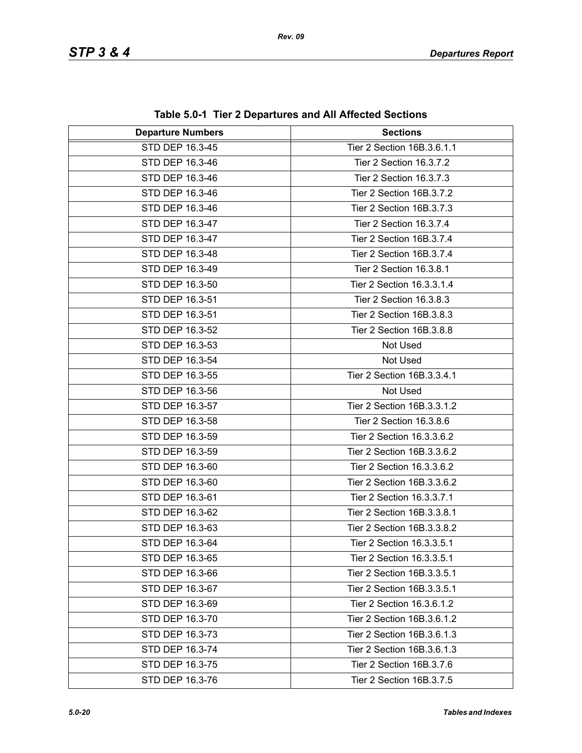| <b>Departure Numbers</b> | <b>Sections</b>            |
|--------------------------|----------------------------|
| STD DEP 16.3-45          | Tier 2 Section 16B.3.6.1.1 |
| STD DEP 16.3-46          | Tier 2 Section 16.3.7.2    |
| STD DEP 16.3-46          | Tier 2 Section 16.3.7.3    |
| STD DEP 16.3-46          | Tier 2 Section 16B.3.7.2   |
| STD DEP 16.3-46          | Tier 2 Section 16B.3.7.3   |
| STD DEP 16.3-47          | Tier 2 Section 16.3.7.4    |
| STD DEP 16.3-47          | Tier 2 Section 16B.3.7.4   |
| STD DEP 16.3-48          | Tier 2 Section 16B.3.7.4   |
| STD DEP 16.3-49          | Tier 2 Section 16.3.8.1    |
| STD DEP 16.3-50          | Tier 2 Section 16.3.3.1.4  |
| STD DEP 16.3-51          | Tier 2 Section 16.3.8.3    |
| STD DEP 16.3-51          | Tier 2 Section 16B.3.8.3   |
| STD DEP 16.3-52          | Tier 2 Section 16B.3.8.8   |
| STD DEP 16.3-53          | Not Used                   |
| STD DEP 16.3-54          | Not Used                   |
| STD DEP 16.3-55          | Tier 2 Section 16B.3.3.4.1 |
| STD DEP 16.3-56          | Not Used                   |
| STD DEP 16.3-57          | Tier 2 Section 16B.3.3.1.2 |
| STD DEP 16.3-58          | Tier 2 Section 16.3.8.6    |
| STD DEP 16.3-59          | Tier 2 Section 16.3.3.6.2  |
| STD DEP 16.3-59          | Tier 2 Section 16B.3.3.6.2 |
| STD DEP 16.3-60          | Tier 2 Section 16.3.3.6.2  |
| STD DEP 16.3-60          | Tier 2 Section 16B.3.3.6.2 |
| STD DEP 16.3-61          | Tier 2 Section 16.3.3.7.1  |
| STD DEP 16.3-62          | Tier 2 Section 16B.3.3.8.1 |
| STD DEP 16.3-63          | Tier 2 Section 16B.3.3.8.2 |
| STD DEP 16.3-64          | Tier 2 Section 16.3.3.5.1  |
| STD DEP 16.3-65          | Tier 2 Section 16.3.3.5.1  |
| STD DEP 16.3-66          | Tier 2 Section 16B.3.3.5.1 |
| STD DEP 16.3-67          | Tier 2 Section 16B.3.3.5.1 |
| STD DEP 16.3-69          | Tier 2 Section 16.3.6.1.2  |
| STD DEP 16.3-70          | Tier 2 Section 16B.3.6.1.2 |
| STD DEP 16.3-73          | Tier 2 Section 16B.3.6.1.3 |
| STD DEP 16.3-74          | Tier 2 Section 16B.3.6.1.3 |
| STD DEP 16.3-75          | Tier 2 Section 16B.3.7.6   |
| STD DEP 16.3-76          | Tier 2 Section 16B.3.7.5   |

**Table 5.0-1 Tier 2 Departures and All Affected Sections**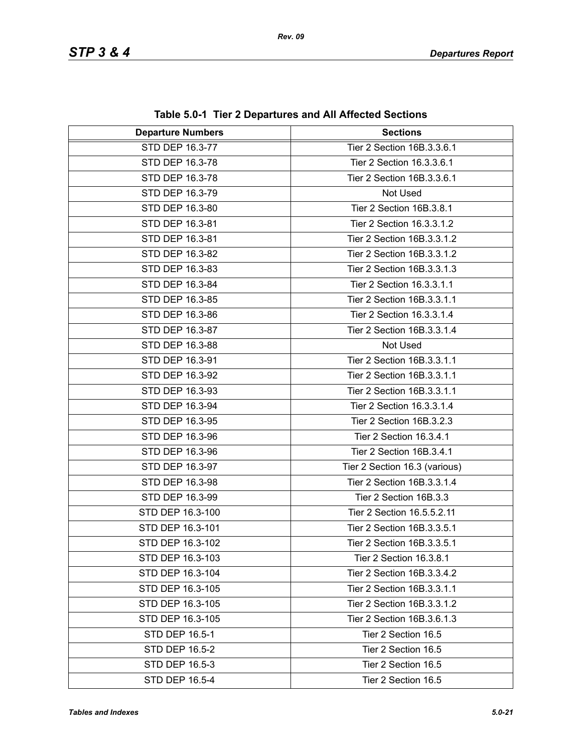| <b>Departure Numbers</b> | <b>Sections</b>               |
|--------------------------|-------------------------------|
| STD DEP 16.3-77          | Tier 2 Section 16B.3.3.6.1    |
| STD DEP 16.3-78          | Tier 2 Section 16.3.3.6.1     |
| STD DEP 16.3-78          | Tier 2 Section 16B.3.3.6.1    |
| STD DEP 16.3-79          | Not Used                      |
| STD DEP 16.3-80          | Tier 2 Section 16B.3.8.1      |
| STD DEP 16.3-81          | Tier 2 Section 16.3.3.1.2     |
| STD DEP 16.3-81          | Tier 2 Section 16B.3.3.1.2    |
| STD DEP 16.3-82          | Tier 2 Section 16B.3.3.1.2    |
| STD DEP 16.3-83          | Tier 2 Section 16B.3.3.1.3    |
| STD DEP 16.3-84          | Tier 2 Section 16.3.3.1.1     |
| STD DEP 16.3-85          | Tier 2 Section 16B.3.3.1.1    |
| STD DEP 16.3-86          | Tier 2 Section 16.3.3.1.4     |
| STD DEP 16.3-87          | Tier 2 Section 16B.3.3.1.4    |
| STD DEP 16.3-88          | Not Used                      |
| STD DEP 16.3-91          | Tier 2 Section 16B.3.3.1.1    |
| STD DEP 16.3-92          | Tier 2 Section 16B.3.3.1.1    |
| STD DEP 16.3-93          | Tier 2 Section 16B.3.3.1.1    |
| STD DEP 16.3-94          | Tier 2 Section 16.3.3.1.4     |
| STD DEP 16.3-95          | Tier 2 Section 16B.3.2.3      |
| STD DEP 16.3-96          | Tier 2 Section 16.3.4.1       |
| STD DEP 16.3-96          | Tier 2 Section 16B.3.4.1      |
| STD DEP 16.3-97          | Tier 2 Section 16.3 (various) |
| STD DEP 16.3-98          | Tier 2 Section 16B.3.3.1.4    |
| STD DEP 16.3-99          | Tier 2 Section 16B.3.3        |
| STD DEP 16.3-100         | Tier 2 Section 16.5.5.2.11    |
| STD DEP 16.3-101         | Tier 2 Section 16B.3.3.5.1    |
| STD DEP 16.3-102         | Tier 2 Section 16B.3.3.5.1    |
| STD DEP 16.3-103         | Tier 2 Section 16.3.8.1       |
| STD DEP 16.3-104         | Tier 2 Section 16B.3.3.4.2    |
| STD DEP 16.3-105         | Tier 2 Section 16B.3.3.1.1    |
| STD DEP 16.3-105         | Tier 2 Section 16B.3.3.1.2    |
| STD DEP 16.3-105         | Tier 2 Section 16B.3.6.1.3    |
| STD DEP 16.5-1           | Tier 2 Section 16.5           |
| <b>STD DEP 16.5-2</b>    | Tier 2 Section 16.5           |
| STD DEP 16.5-3           | Tier 2 Section 16.5           |
| STD DEP 16.5-4           | Tier 2 Section 16.5           |

**Table 5.0-1 Tier 2 Departures and All Affected Sections**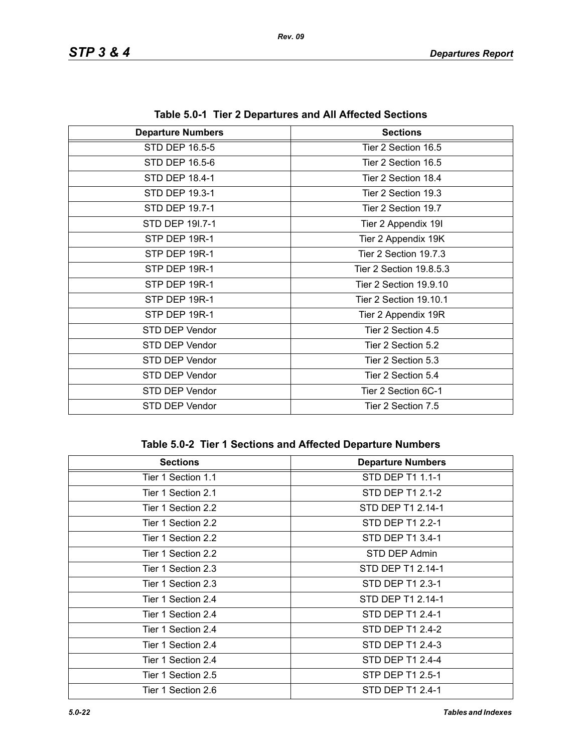| <b>Departure Numbers</b> | <b>Sections</b>         |
|--------------------------|-------------------------|
| STD DEP 16.5-5           | Tier 2 Section 16.5     |
| STD DEP 16.5-6           | Tier 2 Section 16.5     |
| STD DEP 18.4-1           | Tier 2 Section 18.4     |
| STD DEP 19.3-1           | Tier 2 Section 19.3     |
| STD DEP 19.7-1           | Tier 2 Section 19.7     |
| STD DEP 191.7-1          | Tier 2 Appendix 19I     |
| STP DEP 19R-1            | Tier 2 Appendix 19K     |
| STP DEP 19R-1            | Tier 2 Section 19.7.3   |
| STP DEP 19R-1            | Tier 2 Section 19.8.5.3 |
| STP DEP 19R-1            | Tier 2 Section 19.9.10  |
| STP DEP 19R-1            | Tier 2 Section 19.10.1  |
| STP DEP 19R-1            | Tier 2 Appendix 19R     |
| STD DEP Vendor           | Tier 2 Section 4.5      |
| STD DEP Vendor           | Tier 2 Section 5.2      |
| STD DEP Vendor           | Tier 2 Section 5.3      |
| STD DEP Vendor           | Tier 2 Section 5.4      |
| STD DEP Vendor           | Tier 2 Section 6C-1     |
| STD DEP Vendor           | Tier 2 Section 7.5      |

**Table 5.0-1 Tier 2 Departures and All Affected Sections**

## **Table 5.0-2 Tier 1 Sections and Affected Departure Numbers**

| <b>Sections</b>    | <b>Departure Numbers</b> |
|--------------------|--------------------------|
| Tier 1 Section 1.1 | STD DEP T1 1.1-1         |
| Tier 1 Section 2.1 | STD DEP T1 2.1-2         |
| Tier 1 Section 2.2 | STD DEP T1 2.14-1        |
| Tier 1 Section 2.2 | STD DEP T1 2.2-1         |
| Tier 1 Section 2.2 | STD DEP T1 3.4-1         |
| Tier 1 Section 2.2 | STD DEP Admin            |
| Tier 1 Section 2.3 | STD DEP T1 2.14-1        |
| Tier 1 Section 2.3 | STD DEP T1 2.3-1         |
| Tier 1 Section 2.4 | STD DEP T1 2.14-1        |
| Tier 1 Section 2.4 | STD DEP T1 2.4-1         |
| Tier 1 Section 2.4 | STD DEP T1 2.4-2         |
| Tier 1 Section 2.4 | STD DEP T1 2.4-3         |
| Tier 1 Section 2.4 | STD DEP T1 2.4-4         |
| Tier 1 Section 2.5 | STP DEP T1 2.5-1         |
| Tier 1 Section 2.6 | STD DEP T1 2.4-1         |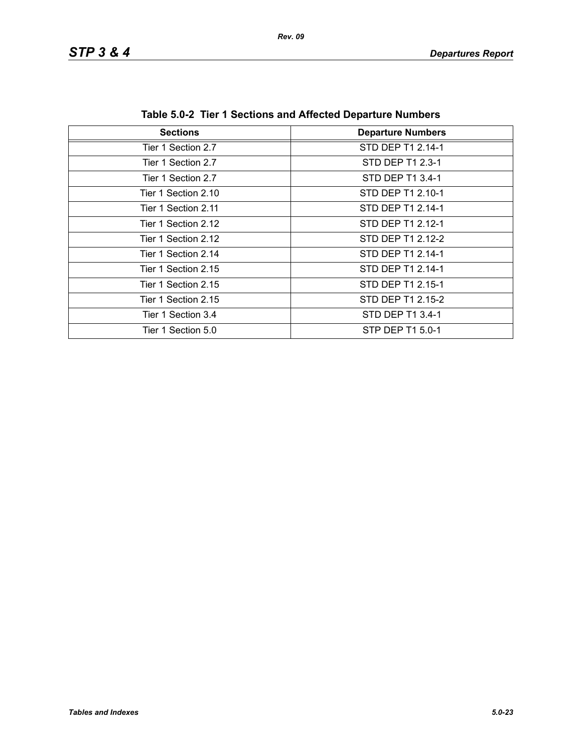## *STP 3 & 4 Departures Report*

| <b>Sections</b>     | <b>Departure Numbers</b> |
|---------------------|--------------------------|
|                     |                          |
| Tier 1 Section 2.7  | STD DEP T1 2.14-1        |
| Tier 1 Section 2.7  | STD DEP T1 2.3-1         |
| Tier 1 Section 2.7  | STD DEP T1 3.4-1         |
| Tier 1 Section 2.10 | STD DEP T1 2.10-1        |
| Tier 1 Section 2.11 | STD DEP T1 2.14-1        |
| Tier 1 Section 2.12 | STD DEP T1 2.12-1        |
| Tier 1 Section 2.12 | STD DEP T1 2.12-2        |
| Tier 1 Section 2.14 | STD DEP T1 2.14-1        |
| Tier 1 Section 2.15 | STD DEP T1 2.14-1        |
| Tier 1 Section 2.15 | STD DEP T1 2.15-1        |
| Tier 1 Section 2.15 | STD DEP T1 2.15-2        |
| Tier 1 Section 3.4  | STD DEP T1 3.4-1         |
| Tier 1 Section 5.0  | STP DEP T1 5.0-1         |

**Table 5.0-2 Tier 1 Sections and Affected Departure Numbers**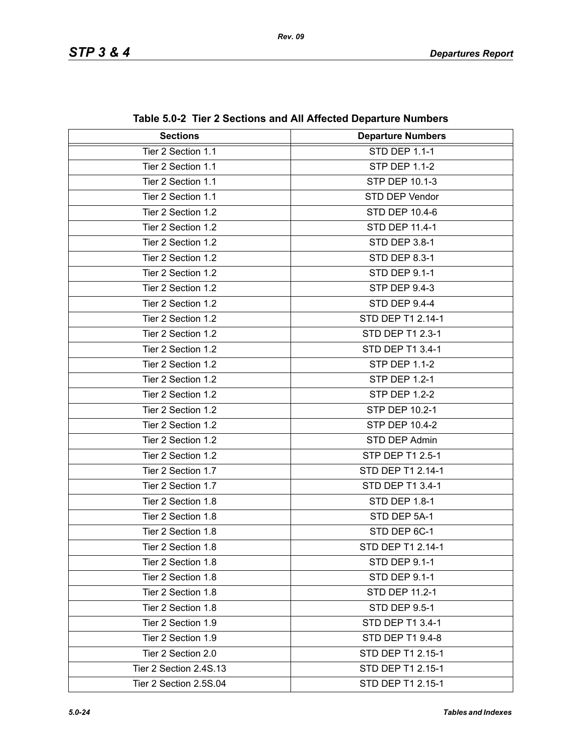| <b>Sections</b>        | <b>Departure Numbers</b> |
|------------------------|--------------------------|
| Tier 2 Section 1.1     | <b>STD DEP 1.1-1</b>     |
| Tier 2 Section 1.1     | <b>STP DEP 1.1-2</b>     |
| Tier 2 Section 1.1     | <b>STP DEP 10.1-3</b>    |
| Tier 2 Section 1.1     | STD DEP Vendor           |
| Tier 2 Section 1.2     | STD DEP 10.4-6           |
| Tier 2 Section 1.2     | <b>STD DEP 11.4-1</b>    |
| Tier 2 Section 1.2     | STD DEP 3.8-1            |
| Tier 2 Section 1.2     | <b>STD DEP 8.3-1</b>     |
| Tier 2 Section 1.2     | <b>STD DEP 9.1-1</b>     |
| Tier 2 Section 1.2     | <b>STP DEP 9.4-3</b>     |
| Tier 2 Section 1.2     | <b>STD DEP 9.4-4</b>     |
| Tier 2 Section 1.2     | STD DEP T1 2.14-1        |
| Tier 2 Section 1.2     | STD DEP T1 2.3-1         |
| Tier 2 Section 1.2     | STD DEP T1 3.4-1         |
| Tier 2 Section 1.2     | <b>STP DEP 1.1-2</b>     |
| Tier 2 Section 1.2     | <b>STP DEP 1.2-1</b>     |
| Tier 2 Section 1.2     | <b>STP DEP 1.2-2</b>     |
| Tier 2 Section 1.2     | STP DEP 10.2-1           |
| Tier 2 Section 1.2     | STP DEP 10.4-2           |
| Tier 2 Section 1.2     | STD DEP Admin            |
| Tier 2 Section 1.2     | STP DEP T1 2.5-1         |
| Tier 2 Section 1.7     | STD DEP T1 2.14-1        |
| Tier 2 Section 1.7     | STD DEP T1 3.4-1         |
| Tier 2 Section 1.8     | STD DEP 1.8-1            |
| Tier 2 Section 1.8     | STD DEP 5A-1             |
| Tier 2 Section 1.8     | STD DEP 6C-1             |
| Tier 2 Section 1.8     | STD DEP T1 2.14-1        |
| Tier 2 Section 1.8     | STD DEP 9.1-1            |
| Tier 2 Section 1.8     | STD DEP 9.1-1            |
| Tier 2 Section 1.8     | STD DEP 11.2-1           |
| Tier 2 Section 1.8     | <b>STD DEP 9.5-1</b>     |
| Tier 2 Section 1.9     | STD DEP T1 3.4-1         |
| Tier 2 Section 1.9     | STD DEP T1 9.4-8         |
| Tier 2 Section 2.0     | STD DEP T1 2.15-1        |
| Tier 2 Section 2.4S.13 | STD DEP T1 2.15-1        |
| Tier 2 Section 2.5S.04 | STD DEP T1 2.15-1        |

**Table 5.0-2 Tier 2 Sections and All Affected Departure Numbers**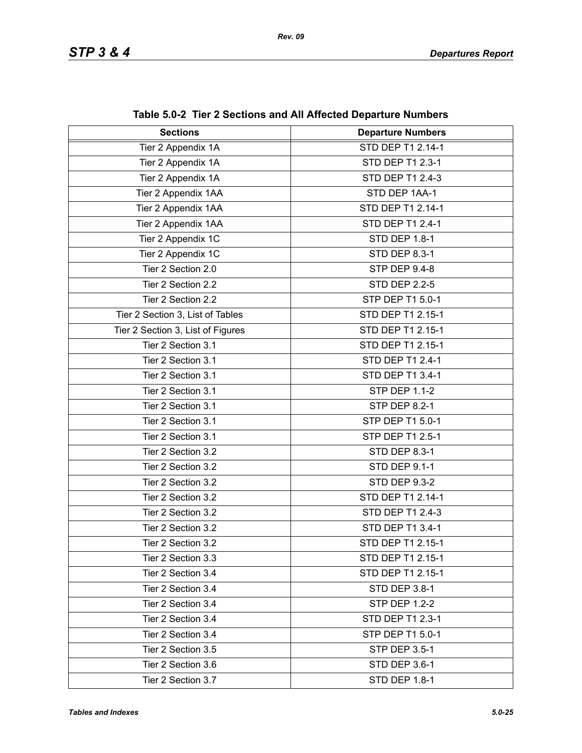| <b>Sections</b>                   | <b>Departure Numbers</b> |
|-----------------------------------|--------------------------|
| Tier 2 Appendix 1A                | STD DEP T1 2.14-1        |
| Tier 2 Appendix 1A                | STD DEP T1 2.3-1         |
| Tier 2 Appendix 1A                | STD DEP T1 2.4-3         |
| Tier 2 Appendix 1AA               | STD DEP 1AA-1            |
| Tier 2 Appendix 1AA               | STD DEP T1 2.14-1        |
| Tier 2 Appendix 1AA               | STD DEP T1 2.4-1         |
| Tier 2 Appendix 1C                | STD DEP 1.8-1            |
| Tier 2 Appendix 1C                | STD DEP 8.3-1            |
| Tier 2 Section 2.0                | STP DEP 9.4-8            |
| Tier 2 Section 2.2                | <b>STD DEP 2.2-5</b>     |
| Tier 2 Section 2.2                | STP DEP T1 5.0-1         |
| Tier 2 Section 3, List of Tables  | STD DEP T1 2.15-1        |
| Tier 2 Section 3, List of Figures | STD DEP T1 2.15-1        |
| Tier 2 Section 3.1                | STD DEP T1 2.15-1        |
| Tier 2 Section 3.1                | STD DEP T1 2.4-1         |
| Tier 2 Section 3.1                | STD DEP T1 3.4-1         |
| Tier 2 Section 3.1                | <b>STP DEP 1.1-2</b>     |
| Tier 2 Section 3.1                | STP DEP 8.2-1            |
| Tier 2 Section 3.1                | STP DEP T1 5.0-1         |
| Tier 2 Section 3.1                | STP DEP T1 2.5-1         |
| Tier 2 Section 3.2                | STD DEP 8.3-1            |
| Tier 2 Section 3.2                | STD DEP 9.1-1            |
| Tier 2 Section 3.2                | <b>STD DEP 9.3-2</b>     |
| Tier 2 Section 3.2                | STD DEP T1 2.14-1        |
| Tier 2 Section 3.2                | STD DEP T1 2.4-3         |
| Tier 2 Section 3.2                | STD DEP T1 3.4-1         |
| Tier 2 Section 3.2                | STD DEP T1 2.15-1        |
| Tier 2 Section 3.3                | STD DEP T1 2.15-1        |
| Tier 2 Section 3.4                | STD DEP T1 2.15-1        |
| Tier 2 Section 3.4                | STD DEP 3.8-1            |
| Tier 2 Section 3.4                | <b>STP DEP 1.2-2</b>     |
| Tier 2 Section 3.4                | STD DEP T1 2.3-1         |
| Tier 2 Section 3.4                | STP DEP T1 5.0-1         |
| Tier 2 Section 3.5                | <b>STP DEP 3.5-1</b>     |
| Tier 2 Section 3.6                | STD DEP 3.6-1            |
| Tier 2 Section 3.7                | STD DEP 1.8-1            |

**Table 5.0-2 Tier 2 Sections and All Affected Departure Numbers**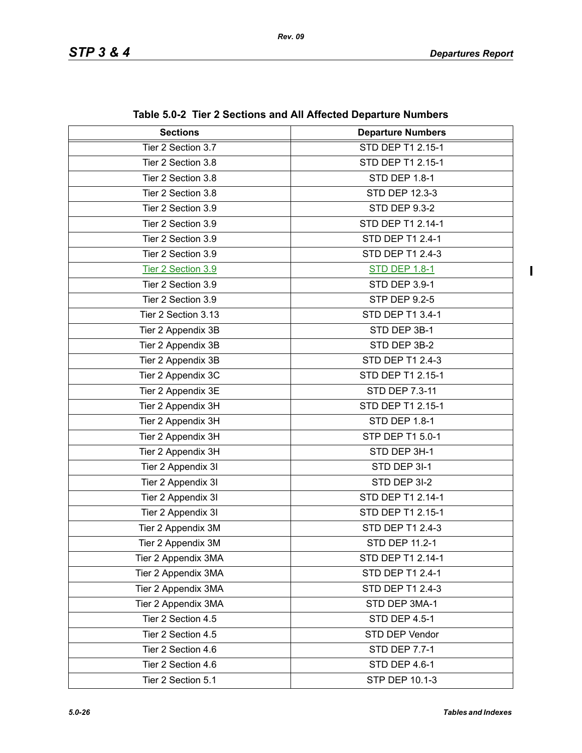$\mathbf{I}$ 

| <b>Sections</b>     | <b>Departure Numbers</b> |
|---------------------|--------------------------|
| Tier 2 Section 3.7  | <b>STD DEP T1 2.15-1</b> |
| Tier 2 Section 3.8  | STD DEP T1 2.15-1        |
| Tier 2 Section 3.8  | <b>STD DEP 1.8-1</b>     |
| Tier 2 Section 3.8  | STD DEP 12.3-3           |
| Tier 2 Section 3.9  | <b>STD DEP 9.3-2</b>     |
| Tier 2 Section 3.9  | STD DEP T1 2.14-1        |
| Tier 2 Section 3.9  | STD DEP T1 2.4-1         |
| Tier 2 Section 3.9  | STD DEP T1 2.4-3         |
| Tier 2 Section 3.9  | <b>STD DEP 1.8-1</b>     |
| Tier 2 Section 3.9  | STD DEP 3.9-1            |
| Tier 2 Section 3.9  | <b>STP DEP 9.2-5</b>     |
| Tier 2 Section 3.13 | STD DEP T1 3.4-1         |
| Tier 2 Appendix 3B  | STD DEP 3B-1             |
| Tier 2 Appendix 3B  | STD DEP 3B-2             |
| Tier 2 Appendix 3B  | STD DEP T1 2.4-3         |
| Tier 2 Appendix 3C  | STD DEP T1 2.15-1        |
| Tier 2 Appendix 3E  | STD DEP 7.3-11           |
| Tier 2 Appendix 3H  | STD DEP T1 2.15-1        |
| Tier 2 Appendix 3H  | <b>STD DEP 1.8-1</b>     |
| Tier 2 Appendix 3H  | STP DEP T1 5.0-1         |
| Tier 2 Appendix 3H  | STD DEP 3H-1             |
| Tier 2 Appendix 3I  | STD DEP 3I-1             |
| Tier 2 Appendix 3I  | STD DEP 3I-2             |
| Tier 2 Appendix 3I  | STD DEP T1 2.14-1        |
| Tier 2 Appendix 3I  | STD DEP T1 2.15-1        |
| Tier 2 Appendix 3M  | STD DEP T1 2.4-3         |
| Tier 2 Appendix 3M  | STD DEP 11.2-1           |
| Tier 2 Appendix 3MA | STD DEP T1 2.14-1        |
| Tier 2 Appendix 3MA | STD DEP T1 2.4-1         |
| Tier 2 Appendix 3MA | STD DEP T1 2.4-3         |
| Tier 2 Appendix 3MA | STD DEP 3MA-1            |
| Tier 2 Section 4.5  | <b>STD DEP 4.5-1</b>     |
| Tier 2 Section 4.5  | STD DEP Vendor           |
| Tier 2 Section 4.6  | <b>STD DEP 7.7-1</b>     |
| Tier 2 Section 4.6  | <b>STD DEP 4.6-1</b>     |
| Tier 2 Section 5.1  | STP DEP 10.1-3           |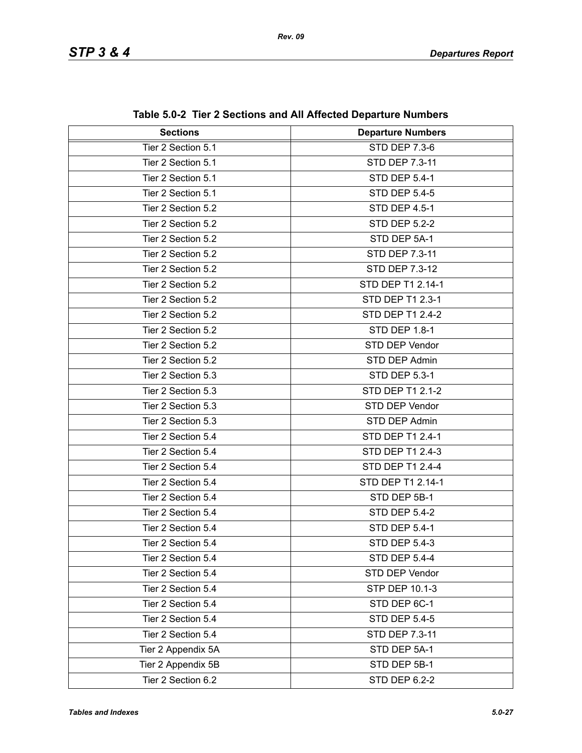| <b>Sections</b>    | adio 0.02 Troi 2 Occupiis and An Ancolou Departare Nambers<br><b>Departure Numbers</b> |
|--------------------|----------------------------------------------------------------------------------------|
| Tier 2 Section 5.1 | STD DEP 7.3-6                                                                          |
| Tier 2 Section 5.1 | STD DEP 7.3-11                                                                         |
| Tier 2 Section 5.1 |                                                                                        |
|                    | <b>STD DEP 5.4-1</b>                                                                   |
| Tier 2 Section 5.1 | <b>STD DEP 5.4-5</b>                                                                   |
| Tier 2 Section 5.2 | <b>STD DEP 4.5-1</b>                                                                   |
| Tier 2 Section 5.2 | <b>STD DEP 5.2-2</b>                                                                   |
| Tier 2 Section 5.2 | STD DEP 5A-1                                                                           |
| Tier 2 Section 5.2 | STD DEP 7.3-11                                                                         |
| Tier 2 Section 5.2 | STD DEP 7.3-12                                                                         |
| Tier 2 Section 5.2 | STD DEP T1 2.14-1                                                                      |
| Tier 2 Section 5.2 | STD DEP T1 2.3-1                                                                       |
| Tier 2 Section 5.2 | STD DEP T1 2.4-2                                                                       |
| Tier 2 Section 5.2 | <b>STD DEP 1.8-1</b>                                                                   |
| Tier 2 Section 5.2 | STD DEP Vendor                                                                         |
| Tier 2 Section 5.2 | STD DEP Admin                                                                          |
| Tier 2 Section 5.3 | STD DEP 5.3-1                                                                          |
| Tier 2 Section 5.3 | <b>STD DEP T1 2.1-2</b>                                                                |
| Tier 2 Section 5.3 | STD DEP Vendor                                                                         |
| Tier 2 Section 5.3 | STD DEP Admin                                                                          |
| Tier 2 Section 5.4 | STD DEP T1 2.4-1                                                                       |
| Tier 2 Section 5.4 | STD DEP T1 2.4-3                                                                       |
| Tier 2 Section 5.4 | STD DEP T1 2.4-4                                                                       |
| Tier 2 Section 5.4 | STD DEP T1 2.14-1                                                                      |
| Tier 2 Section 5.4 | STD DEP 5B-1                                                                           |
| Tier 2 Section 5.4 | <b>STD DEP 5.4-2</b>                                                                   |
| Tier 2 Section 5.4 | <b>STD DEP 5.4-1</b>                                                                   |
| Tier 2 Section 5.4 | <b>STD DEP 5.4-3</b>                                                                   |
| Tier 2 Section 5.4 | <b>STD DEP 5.4-4</b>                                                                   |
| Tier 2 Section 5.4 | STD DEP Vendor                                                                         |
| Tier 2 Section 5.4 | STP DEP 10.1-3                                                                         |
| Tier 2 Section 5.4 | STD DEP 6C-1                                                                           |
| Tier 2 Section 5.4 | <b>STD DEP 5.4-5</b>                                                                   |
| Tier 2 Section 5.4 | STD DEP 7.3-11                                                                         |
| Tier 2 Appendix 5A | STD DEP 5A-1                                                                           |
| Tier 2 Appendix 5B | STD DEP 5B-1                                                                           |
| Tier 2 Section 6.2 | <b>STD DEP 6.2-2</b>                                                                   |

**Table 5.0-2 Tier 2 Sections and All Affected Departure Numbers**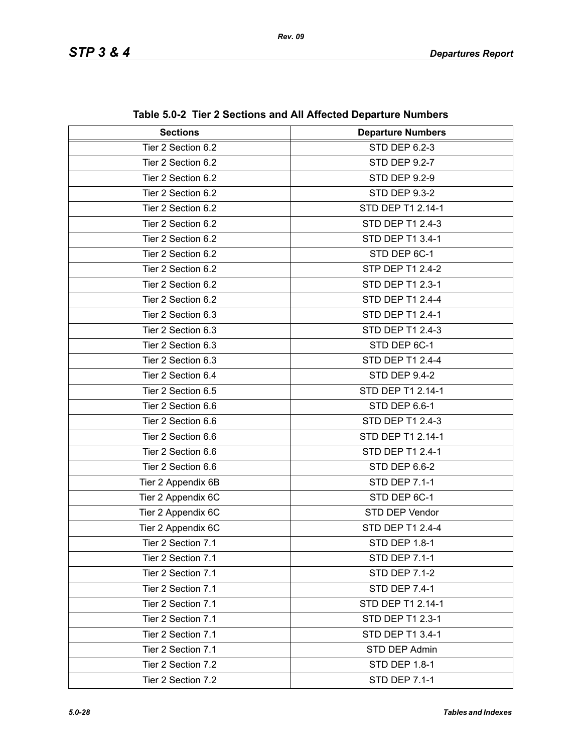| <b>Sections</b>    | <b>Departure Numbers</b> |
|--------------------|--------------------------|
| Tier 2 Section 6.2 | <b>STD DEP 6.2-3</b>     |
| Tier 2 Section 6.2 | <b>STD DEP 9.2-7</b>     |
| Tier 2 Section 6.2 | <b>STD DEP 9.2-9</b>     |
| Tier 2 Section 6.2 | <b>STD DEP 9.3-2</b>     |
| Tier 2 Section 6.2 | STD DEP T1 2.14-1        |
| Tier 2 Section 6.2 | <b>STD DEP T1 2.4-3</b>  |
| Tier 2 Section 6.2 | STD DEP T1 3.4-1         |
| Tier 2 Section 6.2 | STD DEP 6C-1             |
| Tier 2 Section 6.2 | STP DEP T1 2.4-2         |
| Tier 2 Section 6.2 | STD DEP T1 2.3-1         |
| Tier 2 Section 6.2 | <b>STD DEP T1 2.4-4</b>  |
| Tier 2 Section 6.3 | STD DEP T1 2.4-1         |
| Tier 2 Section 6.3 | STD DEP T1 2.4-3         |
| Tier 2 Section 6.3 | STD DEP 6C-1             |
| Tier 2 Section 6.3 | <b>STD DEP T1 2.4-4</b>  |
| Tier 2 Section 6.4 | STD DEP 9.4-2            |
| Tier 2 Section 6.5 | STD DEP T1 2.14-1        |
| Tier 2 Section 6.6 | STD DEP 6.6-1            |
| Tier 2 Section 6.6 | STD DEP T1 2.4-3         |
| Tier 2 Section 6.6 | STD DEP T1 2.14-1        |
| Tier 2 Section 6.6 | STD DEP T1 2.4-1         |
| Tier 2 Section 6.6 | STD DEP 6.6-2            |
| Tier 2 Appendix 6B | <b>STD DEP 7.1-1</b>     |
| Tier 2 Appendix 6C | STD DEP 6C-1             |
| Tier 2 Appendix 6C | STD DEP Vendor           |
| Tier 2 Appendix 6C | <b>STD DEP T1 2.4-4</b>  |
| Tier 2 Section 7.1 | STD DEP 1.8-1            |
| Tier 2 Section 7.1 | <b>STD DEP 7.1-1</b>     |
| Tier 2 Section 7.1 | <b>STD DEP 7.1-2</b>     |
| Tier 2 Section 7.1 | <b>STD DEP 7.4-1</b>     |
| Tier 2 Section 7.1 | STD DEP T1 2.14-1        |
| Tier 2 Section 7.1 | STD DEP T1 2.3-1         |
| Tier 2 Section 7.1 | STD DEP T1 3.4-1         |
| Tier 2 Section 7.1 | STD DEP Admin            |
| Tier 2 Section 7.2 | <b>STD DEP 1.8-1</b>     |
| Tier 2 Section 7.2 | <b>STD DEP 7.1-1</b>     |

**Table 5.0-2 Tier 2 Sections and All Affected Departure Numbers**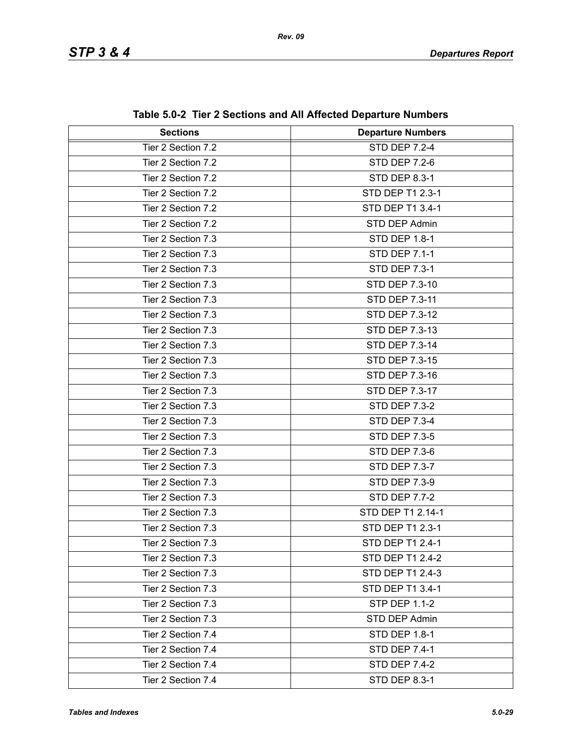| <b>Sections</b>    | <b>Departure Numbers</b> |
|--------------------|--------------------------|
| Tier 2 Section 7.2 | <b>STD DEP 7.2-4</b>     |
| Tier 2 Section 7.2 | <b>STD DEP 7.2-6</b>     |
| Tier 2 Section 7.2 | <b>STD DEP 8.3-1</b>     |
| Tier 2 Section 7.2 | STD DEP T1 2.3-1         |
| Tier 2 Section 7.2 | STD DEP T1 3.4-1         |
| Tier 2 Section 7.2 | STD DEP Admin            |
| Tier 2 Section 7.3 | <b>STD DEP 1.8-1</b>     |
| Tier 2 Section 7.3 | <b>STD DEP 7.1-1</b>     |
| Tier 2 Section 7.3 | <b>STD DEP 7.3-1</b>     |
| Tier 2 Section 7.3 | STD DEP 7.3-10           |
| Tier 2 Section 7.3 | STD DEP 7.3-11           |
| Tier 2 Section 7.3 | STD DEP 7.3-12           |
| Tier 2 Section 7.3 | STD DEP 7.3-13           |
| Tier 2 Section 7.3 | STD DEP 7.3-14           |
| Tier 2 Section 7.3 | STD DEP 7.3-15           |
| Tier 2 Section 7.3 | STD DEP 7.3-16           |
| Tier 2 Section 7.3 | STD DEP 7.3-17           |
| Tier 2 Section 7.3 | <b>STD DEP 7.3-2</b>     |
| Tier 2 Section 7.3 | <b>STD DEP 7.3-4</b>     |
| Tier 2 Section 7.3 | <b>STD DEP 7.3-5</b>     |
| Tier 2 Section 7.3 | <b>STD DEP 7.3-6</b>     |
| Tier 2 Section 7.3 | <b>STD DEP 7.3-7</b>     |
| Tier 2 Section 7.3 | <b>STD DEP 7.3-9</b>     |
| Tier 2 Section 7.3 | <b>STD DEP 7.7-2</b>     |
| Tier 2 Section 7.3 | STD DEP T1 2.14-1        |
| Tier 2 Section 7.3 | STD DEP T1 2.3-1         |
| Tier 2 Section 7.3 | STD DEP T1 2.4-1         |
| Tier 2 Section 7.3 | STD DEP T1 2.4-2         |
| Tier 2 Section 7.3 | STD DEP T1 2.4-3         |
| Tier 2 Section 7.3 | STD DEP T1 3.4-1         |
| Tier 2 Section 7.3 | <b>STP DEP 1.1-2</b>     |
| Tier 2 Section 7.3 | STD DEP Admin            |
| Tier 2 Section 7.4 | <b>STD DEP 1.8-1</b>     |
| Tier 2 Section 7.4 | <b>STD DEP 7.4-1</b>     |
| Tier 2 Section 7.4 | <b>STD DEP 7.4-2</b>     |
| Tier 2 Section 7.4 | STD DEP 8.3-1            |

**Table 5.0-2 Tier 2 Sections and All Affected Departure Numbers**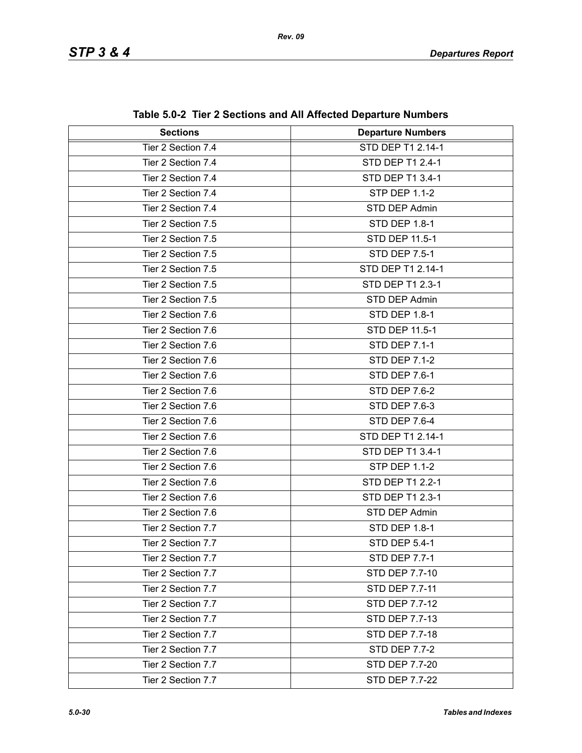| <b>Sections</b>    | <b>Departure Numbers</b> |
|--------------------|--------------------------|
| Tier 2 Section 7.4 | STD DEP T1 2.14-1        |
| Tier 2 Section 7.4 | STD DEP T1 2.4-1         |
| Tier 2 Section 7.4 | STD DEP T1 3.4-1         |
| Tier 2 Section 7.4 | <b>STP DEP 1.1-2</b>     |
| Tier 2 Section 7.4 | STD DEP Admin            |
| Tier 2 Section 7.5 | <b>STD DEP 1.8-1</b>     |
| Tier 2 Section 7.5 | STD DEP 11.5-1           |
| Tier 2 Section 7.5 | <b>STD DEP 7.5-1</b>     |
| Tier 2 Section 7.5 | STD DEP T1 2.14-1        |
| Tier 2 Section 7.5 | STD DEP T1 2.3-1         |
| Tier 2 Section 7.5 | STD DEP Admin            |
| Tier 2 Section 7.6 | <b>STD DEP 1.8-1</b>     |
| Tier 2 Section 7.6 | STD DEP 11.5-1           |
| Tier 2 Section 7.6 | <b>STD DEP 7.1-1</b>     |
| Tier 2 Section 7.6 | <b>STD DEP 7.1-2</b>     |
| Tier 2 Section 7.6 | <b>STD DEP 7.6-1</b>     |
| Tier 2 Section 7.6 | <b>STD DEP 7.6-2</b>     |
| Tier 2 Section 7.6 | <b>STD DEP 7.6-3</b>     |
| Tier 2 Section 7.6 | <b>STD DEP 7.6-4</b>     |
| Tier 2 Section 7.6 | STD DEP T1 2.14-1        |
| Tier 2 Section 7.6 | STD DEP T1 3.4-1         |
| Tier 2 Section 7.6 | <b>STP DEP 1.1-2</b>     |
| Tier 2 Section 7.6 | STD DEP T1 2.2-1         |
| Tier 2 Section 7.6 | STD DEP T1 2.3-1         |
| Tier 2 Section 7.6 | STD DEP Admin            |
| Tier 2 Section 7.7 | <b>STD DEP 1.8-1</b>     |
| Tier 2 Section 7.7 | STD DEP 5.4-1            |
| Tier 2 Section 7.7 | <b>STD DEP 7.7-1</b>     |
| Tier 2 Section 7.7 | STD DEP 7.7-10           |
| Tier 2 Section 7.7 | STD DEP 7.7-11           |
| Tier 2 Section 7.7 | STD DEP 7.7-12           |
| Tier 2 Section 7.7 | STD DEP 7.7-13           |
| Tier 2 Section 7.7 | STD DEP 7.7-18           |
| Tier 2 Section 7.7 | <b>STD DEP 7.7-2</b>     |
| Tier 2 Section 7.7 | STD DEP 7.7-20           |
| Tier 2 Section 7.7 | STD DEP 7.7-22           |

**Table 5.0-2 Tier 2 Sections and All Affected Departure Numbers**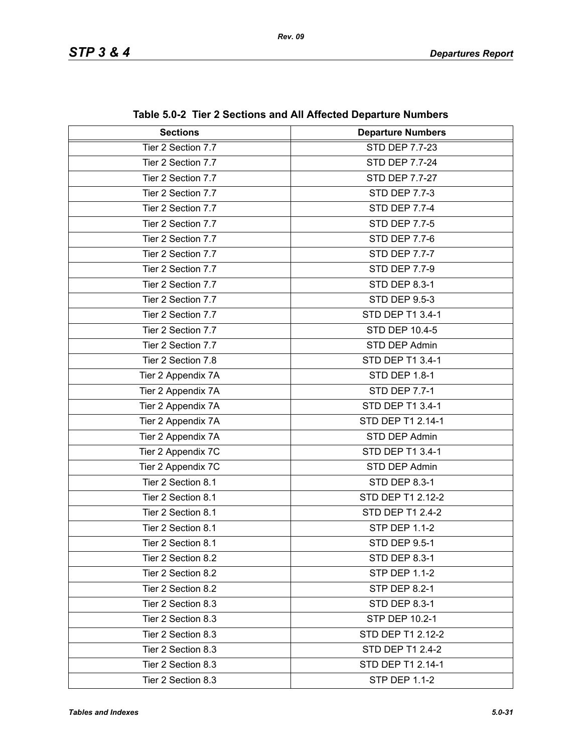| <b>Sections</b>    | <b>Departure Numbers</b> |
|--------------------|--------------------------|
| Tier 2 Section 7.7 | STD DEP 7.7-23           |
| Tier 2 Section 7.7 | <b>STD DEP 7.7-24</b>    |
| Tier 2 Section 7.7 | <b>STD DEP 7.7-27</b>    |
| Tier 2 Section 7.7 | <b>STD DEP 7.7-3</b>     |
| Tier 2 Section 7.7 | <b>STD DEP 7.7-4</b>     |
| Tier 2 Section 7.7 | <b>STD DEP 7.7-5</b>     |
| Tier 2 Section 7.7 | <b>STD DEP 7.7-6</b>     |
| Tier 2 Section 7.7 | <b>STD DEP 7.7-7</b>     |
| Tier 2 Section 7.7 | <b>STD DEP 7.7-9</b>     |
| Tier 2 Section 7.7 | STD DEP 8.3-1            |
| Tier 2 Section 7.7 | <b>STD DEP 9.5-3</b>     |
| Tier 2 Section 7.7 | STD DEP T1 3.4-1         |
| Tier 2 Section 7.7 | <b>STD DEP 10.4-5</b>    |
| Tier 2 Section 7.7 | STD DEP Admin            |
| Tier 2 Section 7.8 | STD DEP T1 3.4-1         |
| Tier 2 Appendix 7A | STD DEP 1.8-1            |
| Tier 2 Appendix 7A | <b>STD DEP 7.7-1</b>     |
| Tier 2 Appendix 7A | STD DEP T1 3.4-1         |
| Tier 2 Appendix 7A | STD DEP T1 2.14-1        |
| Tier 2 Appendix 7A | STD DEP Admin            |
| Tier 2 Appendix 7C | STD DEP T1 3.4-1         |
| Tier 2 Appendix 7C | STD DEP Admin            |
| Tier 2 Section 8.1 | STD DEP 8.3-1            |
| Tier 2 Section 8.1 | STD DEP T1 2.12-2        |
| Tier 2 Section 8.1 | STD DEP T1 2.4-2         |
| Tier 2 Section 8.1 | <b>STP DEP 1.1-2</b>     |
| Tier 2 Section 8.1 | STD DEP 9.5-1            |
| Tier 2 Section 8.2 | <b>STD DEP 8.3-1</b>     |
| Tier 2 Section 8.2 | <b>STP DEP 1.1-2</b>     |
| Tier 2 Section 8.2 | <b>STP DEP 8.2-1</b>     |
| Tier 2 Section 8.3 | STD DEP 8.3-1            |
| Tier 2 Section 8.3 | STP DEP 10.2-1           |
| Tier 2 Section 8.3 | STD DEP T1 2.12-2        |
| Tier 2 Section 8.3 | STD DEP T1 2.4-2         |
| Tier 2 Section 8.3 | STD DEP T1 2.14-1        |
| Tier 2 Section 8.3 | <b>STP DEP 1.1-2</b>     |

**Table 5.0-2 Tier 2 Sections and All Affected Departure Numbers**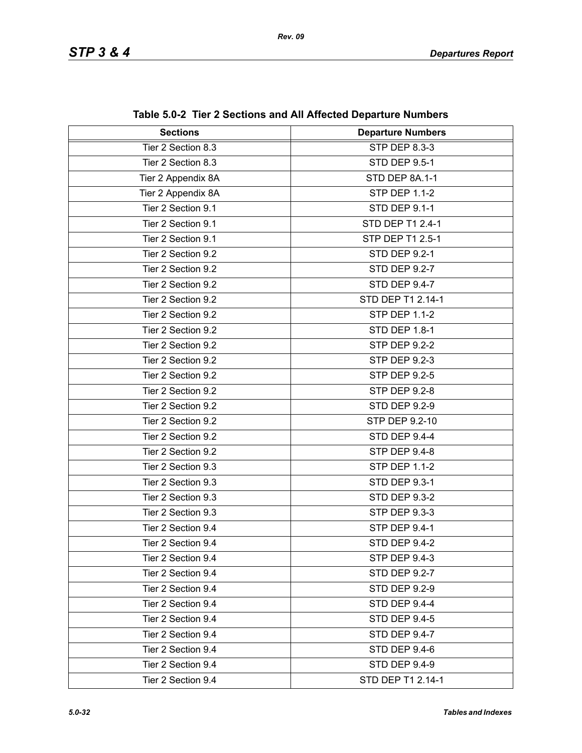| <b>Sections</b>    | <b>Departure Numbers</b> |
|--------------------|--------------------------|
| Tier 2 Section 8.3 | STP DEP 8.3-3            |
| Tier 2 Section 8.3 | <b>STD DEP 9.5-1</b>     |
| Tier 2 Appendix 8A | STD DEP 8A.1-1           |
| Tier 2 Appendix 8A | <b>STP DEP 1.1-2</b>     |
| Tier 2 Section 9.1 | STD DEP 9.1-1            |
| Tier 2 Section 9.1 | STD DEP T1 2.4-1         |
| Tier 2 Section 9.1 | STP DEP T1 2.5-1         |
| Tier 2 Section 9.2 | <b>STD DEP 9.2-1</b>     |
| Tier 2 Section 9.2 | <b>STD DEP 9.2-7</b>     |
| Tier 2 Section 9.2 | <b>STD DEP 9.4-7</b>     |
| Tier 2 Section 9.2 | STD DEP T1 2.14-1        |
| Tier 2 Section 9.2 | <b>STP DEP 1.1-2</b>     |
| Tier 2 Section 9.2 | STD DEP 1.8-1            |
| Tier 2 Section 9.2 | <b>STP DEP 9.2-2</b>     |
| Tier 2 Section 9.2 | STP DEP 9.2-3            |
| Tier 2 Section 9.2 | <b>STP DEP 9.2-5</b>     |
| Tier 2 Section 9.2 | <b>STP DEP 9.2-8</b>     |
| Tier 2 Section 9.2 | <b>STD DEP 9.2-9</b>     |
| Tier 2 Section 9.2 | STP DEP 9.2-10           |
| Tier 2 Section 9.2 | STD DEP 9.4-4            |
| Tier 2 Section 9.2 | <b>STP DEP 9.4-8</b>     |
| Tier 2 Section 9.3 | <b>STP DEP 1.1-2</b>     |
| Tier 2 Section 9.3 | STD DEP 9.3-1            |
| Tier 2 Section 9.3 | <b>STD DEP 9.3-2</b>     |
| Tier 2 Section 9.3 | STP DEP 9.3-3            |
| Tier 2 Section 9.4 | <b>STP DEP 9.4-1</b>     |
| Tier 2 Section 9.4 | <b>STD DEP 9.4-2</b>     |
| Tier 2 Section 9.4 | STP DEP 9.4-3            |
| Tier 2 Section 9.4 | <b>STD DEP 9.2-7</b>     |
| Tier 2 Section 9.4 | <b>STD DEP 9.2-9</b>     |
| Tier 2 Section 9.4 | STD DEP 9.4-4            |
| Tier 2 Section 9.4 | <b>STD DEP 9.4-5</b>     |
| Tier 2 Section 9.4 | STD DEP 9.4-7            |
| Tier 2 Section 9.4 | STD DEP 9.4-6            |
| Tier 2 Section 9.4 | <b>STD DEP 9.4-9</b>     |
| Tier 2 Section 9.4 | STD DEP T1 2.14-1        |

**Table 5.0-2 Tier 2 Sections and All Affected Departure Numbers**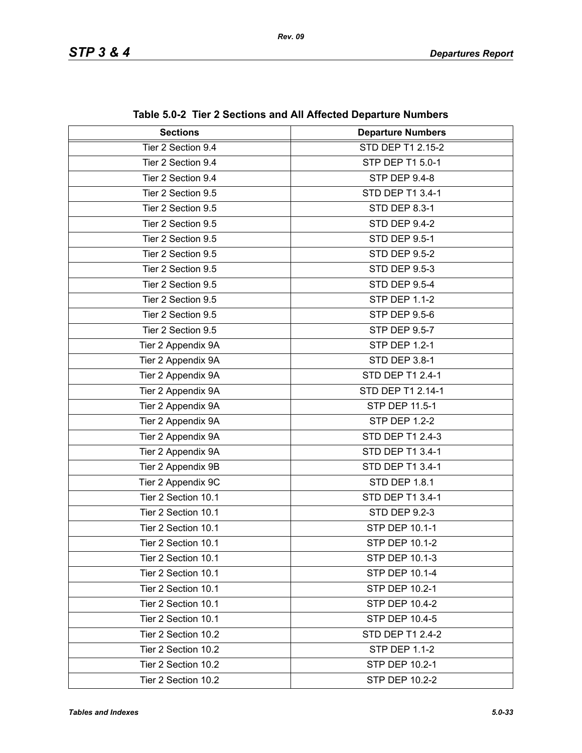| able $3.0 - 2$ . Here there occuping and All Affected Departure Numbers |                          |  |
|-------------------------------------------------------------------------|--------------------------|--|
| <b>Sections</b>                                                         | <b>Departure Numbers</b> |  |
| Tier 2 Section 9.4                                                      | <b>STD DEP T1 2.15-2</b> |  |
| Tier 2 Section 9.4                                                      | STP DEP T1 5.0-1         |  |
| Tier 2 Section 9.4                                                      | STP DEP 9.4-8            |  |
| Tier 2 Section 9.5                                                      | STD DEP T1 3.4-1         |  |
| Tier 2 Section 9.5                                                      | <b>STD DEP 8.3-1</b>     |  |
| Tier 2 Section 9.5                                                      | STD DEP 9.4-2            |  |
| Tier 2 Section 9.5                                                      | <b>STD DEP 9.5-1</b>     |  |
| Tier 2 Section 9.5                                                      | <b>STD DEP 9.5-2</b>     |  |
| Tier 2 Section 9.5                                                      | <b>STD DEP 9.5-3</b>     |  |
| Tier 2 Section 9.5                                                      | <b>STD DEP 9.5-4</b>     |  |
| Tier 2 Section 9.5                                                      | <b>STP DEP 1.1-2</b>     |  |
| Tier 2 Section 9.5                                                      | <b>STP DEP 9.5-6</b>     |  |
| Tier 2 Section 9.5                                                      | <b>STP DEP 9.5-7</b>     |  |
| Tier 2 Appendix 9A                                                      | <b>STP DEP 1.2-1</b>     |  |
| Tier 2 Appendix 9A                                                      | <b>STD DEP 3.8-1</b>     |  |
| Tier 2 Appendix 9A                                                      | STD DEP T1 2.4-1         |  |
| Tier 2 Appendix 9A                                                      | STD DEP T1 2.14-1        |  |
| Tier 2 Appendix 9A                                                      | STP DEP 11.5-1           |  |
| Tier 2 Appendix 9A                                                      | <b>STP DEP 1.2-2</b>     |  |
| Tier 2 Appendix 9A                                                      | STD DEP T1 2.4-3         |  |
| Tier 2 Appendix 9A                                                      | STD DEP T1 3.4-1         |  |
| Tier 2 Appendix 9B                                                      | STD DEP T1 3.4-1         |  |
| Tier 2 Appendix 9C                                                      | <b>STD DEP 1.8.1</b>     |  |
| Tier 2 Section 10.1                                                     | STD DEP T1 3.4-1         |  |
| Tier 2 Section 10.1                                                     | <b>STD DEP 9.2-3</b>     |  |
| Tier 2 Section 10.1                                                     | <b>STP DEP 10.1-1</b>    |  |
| Tier 2 Section 10.1                                                     | STP DEP 10.1-2           |  |
| Tier 2 Section 10.1                                                     | <b>STP DEP 10.1-3</b>    |  |
| Tier 2 Section 10.1                                                     | STP DEP 10.1-4           |  |
| Tier 2 Section 10.1                                                     | STP DEP 10.2-1           |  |
| Tier 2 Section 10.1                                                     | <b>STP DEP 10.4-2</b>    |  |
| Tier 2 Section 10.1                                                     | STP DEP 10.4-5           |  |
| Tier 2 Section 10.2                                                     | STD DEP T1 2.4-2         |  |
| Tier 2 Section 10.2                                                     | <b>STP DEP 1.1-2</b>     |  |
| Tier 2 Section 10.2                                                     | STP DEP 10.2-1           |  |
| Tier 2 Section 10.2                                                     | STP DEP 10.2-2           |  |

**Table 5.0-2 Tier 2 Sections and All Affected Departure Numbers**

*Rev. 09*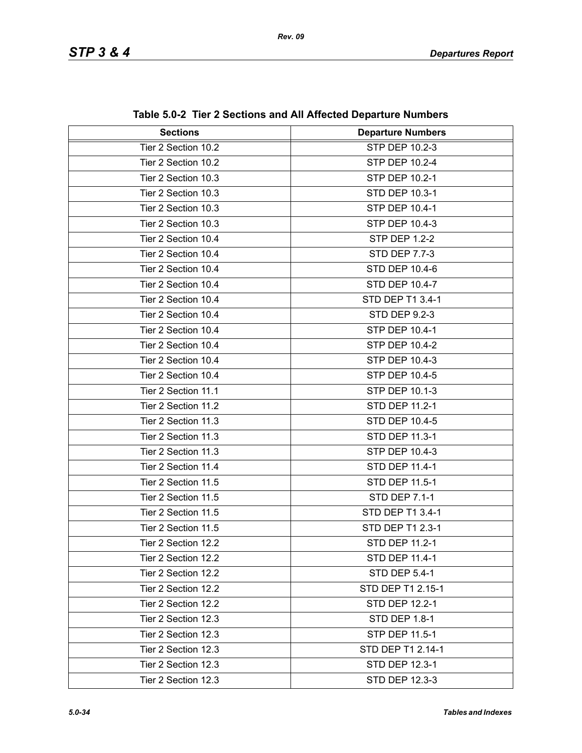| <b>Sections</b>     | <b>Departure Numbers</b> |  |
|---------------------|--------------------------|--|
| Tier 2 Section 10.2 | STP DEP 10.2-3           |  |
| Tier 2 Section 10.2 | STP DEP 10.2-4           |  |
| Tier 2 Section 10.3 | STP DEP 10.2-1           |  |
| Tier 2 Section 10.3 | STD DEP 10.3-1           |  |
| Tier 2 Section 10.3 | STP DEP 10.4-1           |  |
| Tier 2 Section 10.3 | STP DEP 10.4-3           |  |
| Tier 2 Section 10.4 | <b>STP DEP 1.2-2</b>     |  |
| Tier 2 Section 10.4 | <b>STD DEP 7.7-3</b>     |  |
| Tier 2 Section 10.4 | <b>STD DEP 10.4-6</b>    |  |
| Tier 2 Section 10.4 | STD DEP 10.4-7           |  |
| Tier 2 Section 10.4 | STD DEP T1 3.4-1         |  |
| Tier 2 Section 10.4 | <b>STD DEP 9.2-3</b>     |  |
| Tier 2 Section 10.4 | STP DEP 10.4-1           |  |
| Tier 2 Section 10.4 | STP DEP 10.4-2           |  |
| Tier 2 Section 10.4 | STP DEP 10.4-3           |  |
| Tier 2 Section 10.4 | STP DEP 10.4-5           |  |
| Tier 2 Section 11.1 | STP DEP 10.1-3           |  |
| Tier 2 Section 11.2 | STD DEP 11.2-1           |  |
| Tier 2 Section 11.3 | STD DEP 10.4-5           |  |
| Tier 2 Section 11.3 | STD DEP 11.3-1           |  |
| Tier 2 Section 11.3 | STP DEP 10.4-3           |  |
| Tier 2 Section 11.4 | STD DEP 11.4-1           |  |
| Tier 2 Section 11.5 | STD DEP 11.5-1           |  |
| Tier 2 Section 11.5 | STD DEP 7.1-1            |  |
| Tier 2 Section 11.5 | STD DEP T1 3.4-1         |  |
| Tier 2 Section 11.5 | STD DEP T1 2.3-1         |  |
| Tier 2 Section 12.2 | STD DEP 11.2-1           |  |
| Tier 2 Section 12.2 | STD DEP 11.4-1           |  |
| Tier 2 Section 12.2 | <b>STD DEP 5.4-1</b>     |  |
| Tier 2 Section 12.2 | STD DEP T1 2.15-1        |  |
| Tier 2 Section 12.2 | STD DEP 12.2-1           |  |
| Tier 2 Section 12.3 | <b>STD DEP 1.8-1</b>     |  |
| Tier 2 Section 12.3 | STP DEP 11.5-1           |  |
| Tier 2 Section 12.3 | STD DEP T1 2.14-1        |  |
| Tier 2 Section 12.3 | STD DEP 12.3-1           |  |
| Tier 2 Section 12.3 | STD DEP 12.3-3           |  |

**Table 5.0-2 Tier 2 Sections and All Affected Departure Numbers**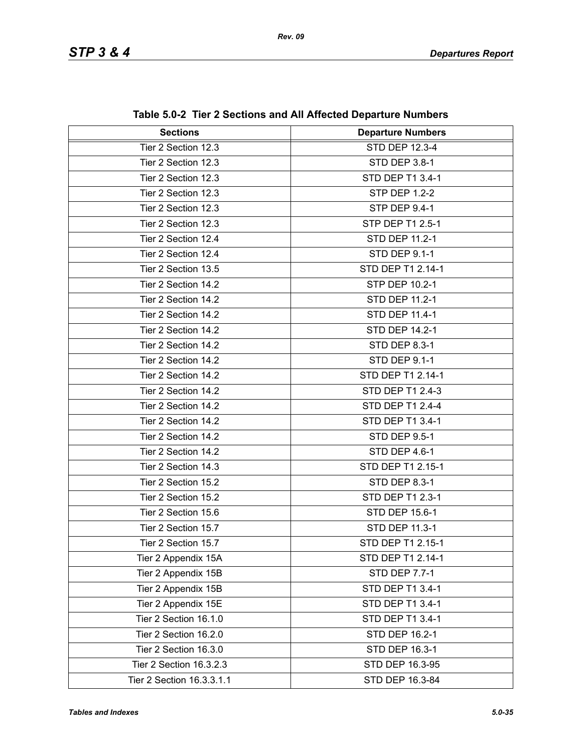| <b>Sections</b>           | <b>Departure Numbers</b> |  |
|---------------------------|--------------------------|--|
| Tier 2 Section 12.3       | STD DEP 12.3-4           |  |
| Tier 2 Section 12.3       | STD DEP 3.8-1            |  |
| Tier 2 Section 12.3       | STD DEP T1 3.4-1         |  |
| Tier 2 Section 12.3       | <b>STP DEP 1.2-2</b>     |  |
| Tier 2 Section 12.3       | <b>STP DEP 9.4-1</b>     |  |
| Tier 2 Section 12.3       | STP DEP T1 2.5-1         |  |
| Tier 2 Section 12.4       | STD DEP 11.2-1           |  |
| Tier 2 Section 12.4       | <b>STD DEP 9.1-1</b>     |  |
| Tier 2 Section 13.5       | STD DEP T1 2.14-1        |  |
| Tier 2 Section 14.2       | STP DEP 10.2-1           |  |
| Tier 2 Section 14.2       | STD DEP 11.2-1           |  |
| Tier 2 Section 14.2       | STD DEP 11.4-1           |  |
| Tier 2 Section 14.2       | <b>STD DEP 14.2-1</b>    |  |
| Tier 2 Section 14.2       | STD DEP 8.3-1            |  |
| Tier 2 Section 14.2       | <b>STD DEP 9.1-1</b>     |  |
| Tier 2 Section 14.2       | STD DEP T1 2.14-1        |  |
| Tier 2 Section 14.2       | STD DEP T1 2.4-3         |  |
| Tier 2 Section 14.2       | <b>STD DEP T1 2.4-4</b>  |  |
| Tier 2 Section 14.2       | STD DEP T1 3.4-1         |  |
| Tier 2 Section 14.2       | <b>STD DEP 9.5-1</b>     |  |
| Tier 2 Section 14.2       | STD DEP 4.6-1            |  |
| Tier 2 Section 14.3       | STD DEP T1 2.15-1        |  |
| Tier 2 Section 15.2       | <b>STD DEP 8.3-1</b>     |  |
| Tier 2 Section 15.2       | <b>STD DEP T1 2.3-1</b>  |  |
| Tier 2 Section 15.6       | <b>STD DEP 15.6-1</b>    |  |
| Tier 2 Section 15.7       | STD DEP 11.3-1           |  |
| Tier 2 Section 15.7       | STD DEP T1 2.15-1        |  |
| Tier 2 Appendix 15A       | STD DEP T1 2.14-1        |  |
| Tier 2 Appendix 15B       | STD DEP 7.7-1            |  |
| Tier 2 Appendix 15B       | STD DEP T1 3.4-1         |  |
| Tier 2 Appendix 15E       | STD DEP T1 3.4-1         |  |
| Tier 2 Section 16.1.0     | STD DEP T1 3.4-1         |  |
| Tier 2 Section 16.2.0     | STD DEP 16.2-1           |  |
| Tier 2 Section 16.3.0     | STD DEP 16.3-1           |  |
| Tier 2 Section 16.3.2.3   | STD DEP 16.3-95          |  |
| Tier 2 Section 16.3.3.1.1 | STD DEP 16.3-84          |  |

**Table 5.0-2 Tier 2 Sections and All Affected Departure Numbers**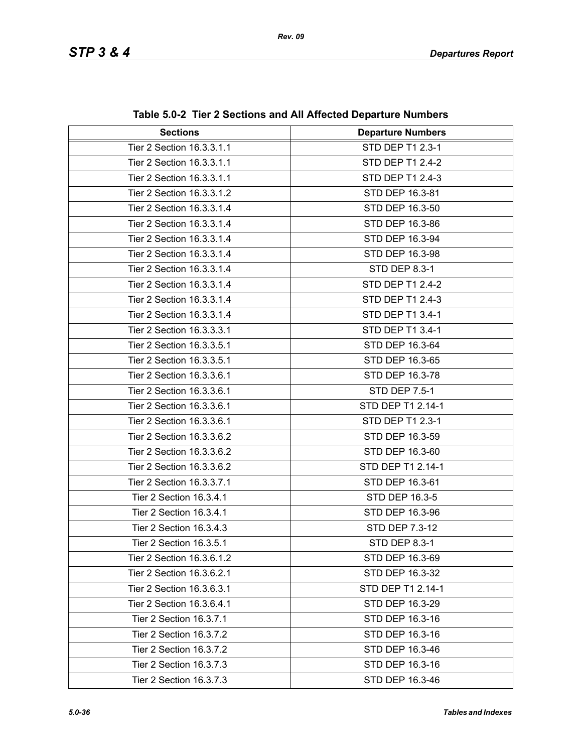| <b>Sections</b>           | <b>Departure Numbers</b> |  |
|---------------------------|--------------------------|--|
| Tier 2 Section 16.3.3.1.1 | STD DEP T1 2.3-1         |  |
| Tier 2 Section 16.3.3.1.1 | STD DEP T1 2.4-2         |  |
| Tier 2 Section 16.3.3.1.1 | <b>STD DEP T1 2.4-3</b>  |  |
| Tier 2 Section 16.3.3.1.2 | STD DEP 16.3-81          |  |
| Tier 2 Section 16.3.3.1.4 | STD DEP 16.3-50          |  |
| Tier 2 Section 16.3.3.1.4 | STD DEP 16.3-86          |  |
| Tier 2 Section 16.3.3.1.4 | STD DEP 16.3-94          |  |
| Tier 2 Section 16.3.3.1.4 | STD DEP 16.3-98          |  |
| Tier 2 Section 16.3.3.1.4 | STD DEP 8.3-1            |  |
| Tier 2 Section 16.3.3.1.4 | STD DEP T1 2.4-2         |  |
| Tier 2 Section 16.3.3.1.4 | STD DEP T1 2.4-3         |  |
| Tier 2 Section 16.3.3.1.4 | STD DEP T1 3.4-1         |  |
| Tier 2 Section 16.3.3.3.1 | STD DEP T1 3.4-1         |  |
| Tier 2 Section 16.3.3.5.1 | STD DEP 16.3-64          |  |
| Tier 2 Section 16.3.3.5.1 | STD DEP 16.3-65          |  |
| Tier 2 Section 16.3.3.6.1 | STD DEP 16.3-78          |  |
| Tier 2 Section 16.3.3.6.1 | <b>STD DEP 7.5-1</b>     |  |
| Tier 2 Section 16.3.3.6.1 | STD DEP T1 2.14-1        |  |
| Tier 2 Section 16.3.3.6.1 | STD DEP T1 2.3-1         |  |
| Tier 2 Section 16.3.3.6.2 | STD DEP 16.3-59          |  |
| Tier 2 Section 16.3.3.6.2 | STD DEP 16.3-60          |  |
| Tier 2 Section 16.3.3.6.2 | STD DEP T1 2.14-1        |  |
| Tier 2 Section 16.3.3.7.1 | STD DEP 16.3-61          |  |
| Tier 2 Section 16.3.4.1   | STD DEP 16.3-5           |  |
| Tier 2 Section 16.3.4.1   | STD DEP 16.3-96          |  |
| Tier 2 Section 16.3.4.3   | STD DEP 7.3-12           |  |
| Tier 2 Section 16.3.5.1   | STD DEP 8.3-1            |  |
| Tier 2 Section 16.3.6.1.2 | STD DEP 16.3-69          |  |
| Tier 2 Section 16.3.6.2.1 | STD DEP 16.3-32          |  |
| Tier 2 Section 16.3.6.3.1 | STD DEP T1 2.14-1        |  |
| Tier 2 Section 16.3.6.4.1 | STD DEP 16.3-29          |  |
| Tier 2 Section 16.3.7.1   | STD DEP 16.3-16          |  |
| Tier 2 Section 16.3.7.2   | STD DEP 16.3-16          |  |
| Tier 2 Section 16.3.7.2   | STD DEP 16.3-46          |  |
| Tier 2 Section 16.3.7.3   | STD DEP 16.3-16          |  |
| Tier 2 Section 16.3.7.3   | STD DEP 16.3-46          |  |

**Table 5.0-2 Tier 2 Sections and All Affected Departure Numbers**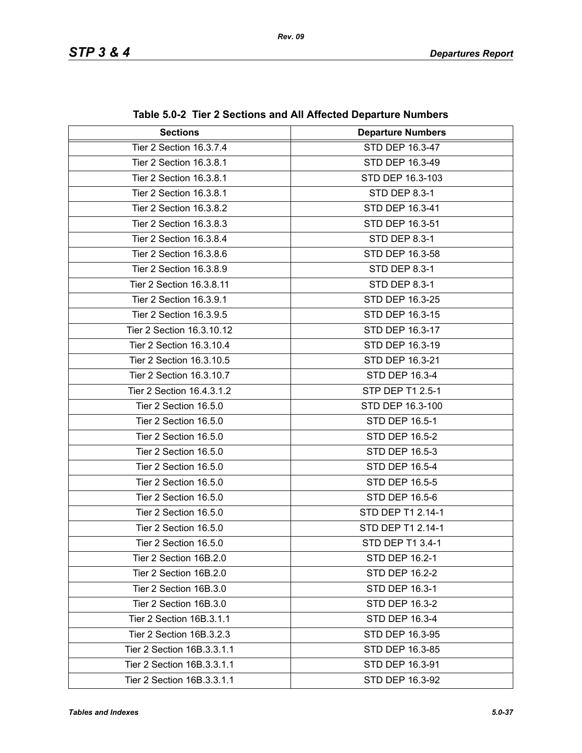| <b>Sections</b>            | $\frac{1}{2}$ . The Educations and functions before the names is<br><b>Departure Numbers</b> |  |
|----------------------------|----------------------------------------------------------------------------------------------|--|
| Tier 2 Section 16.3.7.4    | STD DEP 16.3-47                                                                              |  |
| Tier 2 Section 16.3.8.1    | STD DEP 16.3-49                                                                              |  |
| Tier 2 Section 16.3.8.1    | STD DEP 16.3-103                                                                             |  |
| Tier 2 Section 16.3.8.1    | STD DEP 8.3-1                                                                                |  |
| Tier 2 Section 16.3.8.2    | STD DEP 16.3-41                                                                              |  |
| Tier 2 Section 16.3.8.3    | STD DEP 16.3-51                                                                              |  |
| Tier 2 Section 16.3.8.4    | STD DEP 8.3-1                                                                                |  |
| Tier 2 Section 16.3.8.6    | STD DEP 16.3-58                                                                              |  |
| Tier 2 Section 16.3.8.9    | STD DEP 8.3-1                                                                                |  |
| Tier 2 Section 16.3.8.11   | <b>STD DEP 8.3-1</b>                                                                         |  |
| Tier 2 Section 16.3.9.1    | STD DEP 16.3-25                                                                              |  |
| Tier 2 Section 16.3.9.5    | STD DEP 16.3-15                                                                              |  |
| Tier 2 Section 16.3.10.12  |                                                                                              |  |
|                            | STD DEP 16.3-17                                                                              |  |
| Tier 2 Section 16.3.10.4   | STD DEP 16.3-19                                                                              |  |
| Tier 2 Section 16.3.10.5   | STD DEP 16.3-21                                                                              |  |
| Tier 2 Section 16.3.10.7   | STD DEP 16.3-4                                                                               |  |
| Tier 2 Section 16.4.3.1.2  | STP DEP T1 2.5-1                                                                             |  |
| Tier 2 Section 16.5.0      | STD DEP 16.3-100                                                                             |  |
| Tier 2 Section 16.5.0      | STD DEP 16.5-1                                                                               |  |
| Tier 2 Section 16.5.0      | <b>STD DEP 16.5-2</b>                                                                        |  |
| Tier 2 Section 16.5.0      | STD DEP 16.5-3                                                                               |  |
| Tier 2 Section 16.5.0      | STD DEP 16.5-4                                                                               |  |
| Tier 2 Section 16.5.0      | <b>STD DEP 16.5-5</b>                                                                        |  |
| Tier 2 Section 16.5.0      | STD DEP 16.5-6                                                                               |  |
| Tier 2 Section 16.5.0      | STD DEP T1 2.14-1                                                                            |  |
| Tier 2 Section 16.5.0      | STD DEP T1 2.14-1                                                                            |  |
| Tier 2 Section 16.5.0      | STD DEP T1 3.4-1                                                                             |  |
| Tier 2 Section 16B.2.0     | STD DEP 16.2-1                                                                               |  |
| Tier 2 Section 16B.2.0     | STD DEP 16.2-2                                                                               |  |
| Tier 2 Section 16B.3.0     | STD DEP 16.3-1                                                                               |  |
| Tier 2 Section 16B.3.0     | STD DEP 16.3-2                                                                               |  |
| Tier 2 Section 16B.3.1.1   | STD DEP 16.3-4                                                                               |  |
| Tier 2 Section 16B.3.2.3   | STD DEP 16.3-95                                                                              |  |
| Tier 2 Section 16B.3.3.1.1 | STD DEP 16.3-85                                                                              |  |
| Tier 2 Section 16B.3.3.1.1 | STD DEP 16.3-91                                                                              |  |
| Tier 2 Section 16B.3.3.1.1 | STD DEP 16.3-92                                                                              |  |

|  | Table 5.0-2 Tier 2 Sections and All Affected Departure Numbers |  |  |  |
|--|----------------------------------------------------------------|--|--|--|
|--|----------------------------------------------------------------|--|--|--|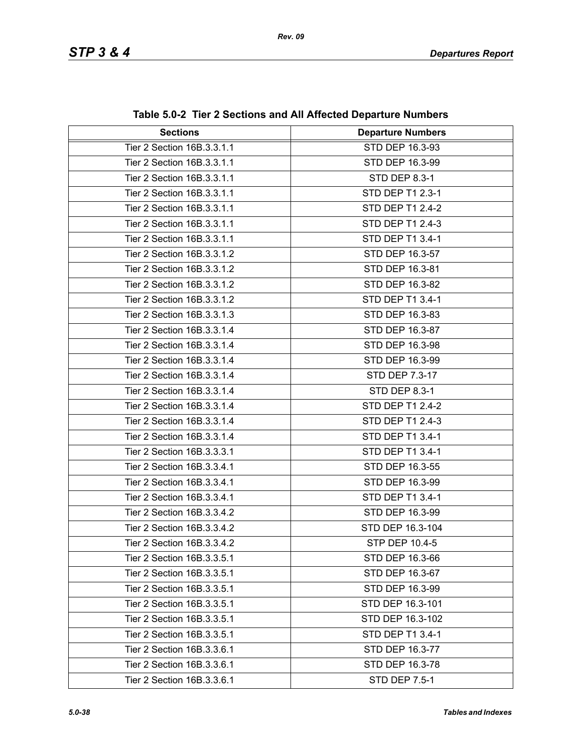| <b>Sections</b>            | <b>Departure Numbers</b> |  |
|----------------------------|--------------------------|--|
| Tier 2 Section 16B.3.3.1.1 | STD DEP 16.3-93          |  |
| Tier 2 Section 16B.3.3.1.1 | STD DEP 16.3-99          |  |
| Tier 2 Section 16B.3.3.1.1 | STD DEP 8.3-1            |  |
| Tier 2 Section 16B.3.3.1.1 | STD DEP T1 2.3-1         |  |
| Tier 2 Section 16B.3.3.1.1 | STD DEP T1 2.4-2         |  |
| Tier 2 Section 16B.3.3.1.1 | STD DEP T1 2.4-3         |  |
| Tier 2 Section 16B.3.3.1.1 | STD DEP T1 3.4-1         |  |
| Tier 2 Section 16B.3.3.1.2 | STD DEP 16.3-57          |  |
| Tier 2 Section 16B.3.3.1.2 | STD DEP 16.3-81          |  |
| Tier 2 Section 16B.3.3.1.2 | STD DEP 16.3-82          |  |
| Tier 2 Section 16B.3.3.1.2 | STD DEP T1 3.4-1         |  |
| Tier 2 Section 16B.3.3.1.3 | STD DEP 16.3-83          |  |
| Tier 2 Section 16B.3.3.1.4 | STD DEP 16.3-87          |  |
| Tier 2 Section 16B.3.3.1.4 | STD DEP 16.3-98          |  |
| Tier 2 Section 16B.3.3.1.4 | STD DEP 16.3-99          |  |
| Tier 2 Section 16B.3.3.1.4 | STD DEP 7.3-17           |  |
| Tier 2 Section 16B.3.3.1.4 | STD DEP 8.3-1            |  |
| Tier 2 Section 16B.3.3.1.4 | STD DEP T1 2.4-2         |  |
| Tier 2 Section 16B.3.3.1.4 | STD DEP T1 2.4-3         |  |
| Tier 2 Section 16B.3.3.1.4 | STD DEP T1 3.4-1         |  |
| Tier 2 Section 16B.3.3.3.1 | STD DEP T1 3.4-1         |  |
| Tier 2 Section 16B.3.3.4.1 | STD DEP 16.3-55          |  |
| Tier 2 Section 16B.3.3.4.1 | STD DEP 16.3-99          |  |
| Tier 2 Section 16B.3.3.4.1 | STD DEP T1 3.4-1         |  |
| Tier 2 Section 16B.3.3.4.2 | STD DEP 16.3-99          |  |
| Tier 2 Section 16B.3.3.4.2 | STD DEP 16.3-104         |  |
| Tier 2 Section 16B.3.3.4.2 | STP DEP 10.4-5           |  |
| Tier 2 Section 16B.3.3.5.1 | STD DEP 16.3-66          |  |
| Tier 2 Section 16B.3.3.5.1 | STD DEP 16.3-67          |  |
| Tier 2 Section 16B.3.3.5.1 | STD DEP 16.3-99          |  |
| Tier 2 Section 16B.3.3.5.1 | STD DEP 16.3-101         |  |
| Tier 2 Section 16B.3.3.5.1 | STD DEP 16.3-102         |  |
| Tier 2 Section 16B.3.3.5.1 | STD DEP T1 3.4-1         |  |
| Tier 2 Section 16B.3.3.6.1 | STD DEP 16.3-77          |  |
| Tier 2 Section 16B.3.3.6.1 | STD DEP 16.3-78          |  |
| Tier 2 Section 16B.3.3.6.1 | <b>STD DEP 7.5-1</b>     |  |

**Table 5.0-2 Tier 2 Sections and All Affected Departure Numbers**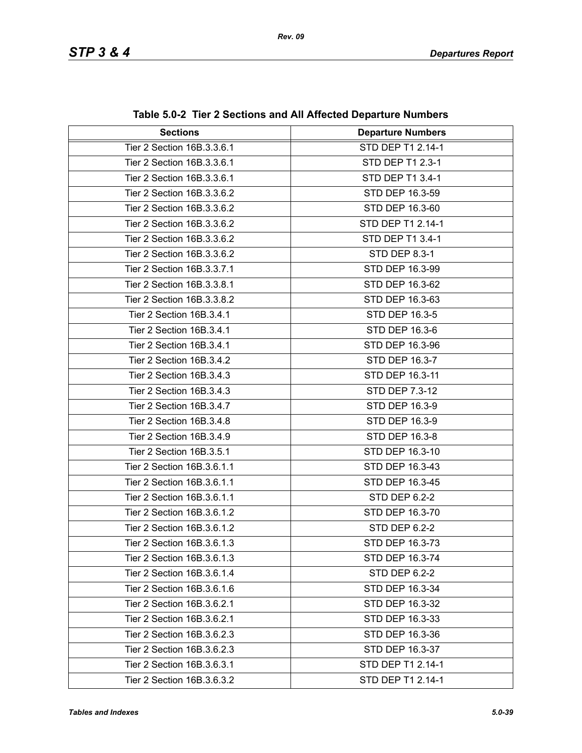| <b>Sections</b>            | <b>Departure Numbers</b> |  |
|----------------------------|--------------------------|--|
| Tier 2 Section 16B.3.3.6.1 | STD DEP T1 2.14-1        |  |
| Tier 2 Section 16B.3.3.6.1 | STD DEP T1 2.3-1         |  |
| Tier 2 Section 16B.3.3.6.1 | STD DEP T1 3.4-1         |  |
| Tier 2 Section 16B.3.3.6.2 | STD DEP 16.3-59          |  |
| Tier 2 Section 16B.3.3.6.2 | STD DEP 16.3-60          |  |
| Tier 2 Section 16B.3.3.6.2 | STD DEP T1 2.14-1        |  |
| Tier 2 Section 16B.3.3.6.2 | STD DEP T1 3.4-1         |  |
| Tier 2 Section 16B.3.3.6.2 | STD DEP 8.3-1            |  |
| Tier 2 Section 16B.3.3.7.1 | STD DEP 16.3-99          |  |
| Tier 2 Section 16B.3.3.8.1 | STD DEP 16.3-62          |  |
| Tier 2 Section 16B.3.3.8.2 | STD DEP 16.3-63          |  |
| Tier 2 Section 16B.3.4.1   | STD DEP 16.3-5           |  |
| Tier 2 Section 16B.3.4.1   | STD DEP 16.3-6           |  |
| Tier 2 Section 16B.3.4.1   | STD DEP 16.3-96          |  |
| Tier 2 Section 16B.3.4.2   | STD DEP 16.3-7           |  |
| Tier 2 Section 16B.3.4.3   | STD DEP 16.3-11          |  |
| Tier 2 Section 16B.3.4.3   | STD DEP 7.3-12           |  |
| Tier 2 Section 16B.3.4.7   | STD DEP 16.3-9           |  |
| Tier 2 Section 16B.3.4.8   | STD DEP 16.3-9           |  |
| Tier 2 Section 16B.3.4.9   | STD DEP 16.3-8           |  |
| Tier 2 Section 16B.3.5.1   | STD DEP 16.3-10          |  |
| Tier 2 Section 16B.3.6.1.1 | STD DEP 16.3-43          |  |
| Tier 2 Section 16B.3.6.1.1 | STD DEP 16.3-45          |  |
| Tier 2 Section 16B.3.6.1.1 | <b>STD DEP 6.2-2</b>     |  |
| Tier 2 Section 16B.3.6.1.2 | STD DEP 16.3-70          |  |
| Tier 2 Section 16B.3.6.1.2 | STD DEP 6.2-2            |  |
| Tier 2 Section 16B.3.6.1.3 | STD DEP 16.3-73          |  |
| Tier 2 Section 16B.3.6.1.3 | STD DEP 16.3-74          |  |
| Tier 2 Section 16B.3.6.1.4 | STD DEP 6.2-2            |  |
| Tier 2 Section 16B.3.6.1.6 | STD DEP 16.3-34          |  |
| Tier 2 Section 16B.3.6.2.1 | STD DEP 16.3-32          |  |
| Tier 2 Section 16B.3.6.2.1 | STD DEP 16.3-33          |  |
| Tier 2 Section 16B.3.6.2.3 | STD DEP 16.3-36          |  |
| Tier 2 Section 16B.3.6.2.3 | STD DEP 16.3-37          |  |
| Tier 2 Section 16B.3.6.3.1 | STD DEP T1 2.14-1        |  |
| Tier 2 Section 16B.3.6.3.2 | STD DEP T1 2.14-1        |  |

**Table 5.0-2 Tier 2 Sections and All Affected Departure Numbers**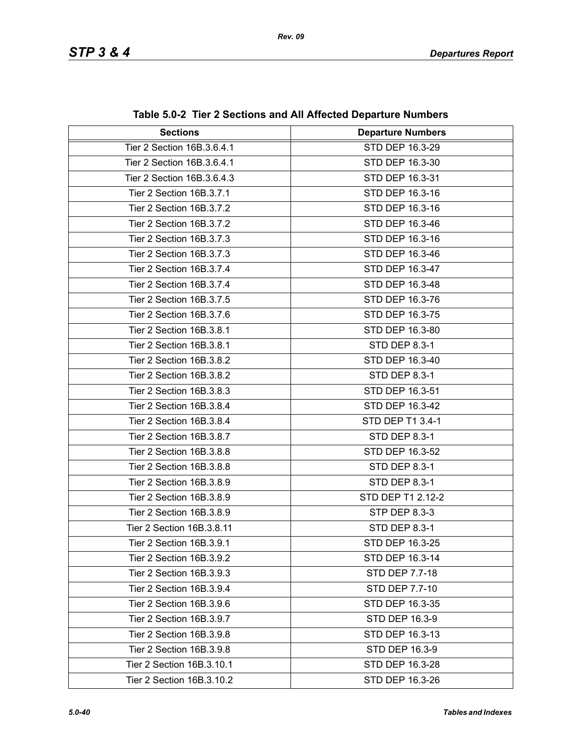| <b>Sections</b>            | <b>Departure Numbers</b> |  |
|----------------------------|--------------------------|--|
| Tier 2 Section 16B.3.6.4.1 | STD DEP 16.3-29          |  |
| Tier 2 Section 16B.3.6.4.1 | STD DEP 16.3-30          |  |
| Tier 2 Section 16B.3.6.4.3 | STD DEP 16.3-31          |  |
| Tier 2 Section 16B.3.7.1   | STD DEP 16.3-16          |  |
| Tier 2 Section 16B.3.7.2   | STD DEP 16.3-16          |  |
| Tier 2 Section 16B.3.7.2   | STD DEP 16.3-46          |  |
| Tier 2 Section 16B.3.7.3   | STD DEP 16.3-16          |  |
| Tier 2 Section 16B.3.7.3   | STD DEP 16.3-46          |  |
| Tier 2 Section 16B.3.7.4   | STD DEP 16.3-47          |  |
| Tier 2 Section 16B.3.7.4   | STD DEP 16.3-48          |  |
| Tier 2 Section 16B.3.7.5   | STD DEP 16.3-76          |  |
| Tier 2 Section 16B.3.7.6   | STD DEP 16.3-75          |  |
| Tier 2 Section 16B.3.8.1   | STD DEP 16.3-80          |  |
| Tier 2 Section 16B.3.8.1   | <b>STD DEP 8.3-1</b>     |  |
| Tier 2 Section 16B.3.8.2   | STD DEP 16.3-40          |  |
| Tier 2 Section 16B.3.8.2   | <b>STD DEP 8.3-1</b>     |  |
| Tier 2 Section 16B.3.8.3   | STD DEP 16.3-51          |  |
| Tier 2 Section 16B.3.8.4   | STD DEP 16.3-42          |  |
| Tier 2 Section 16B.3.8.4   | STD DEP T1 3.4-1         |  |
| Tier 2 Section 16B.3.8.7   | <b>STD DEP 8.3-1</b>     |  |
| Tier 2 Section 16B.3.8.8   | STD DEP 16.3-52          |  |
| Tier 2 Section 16B.3.8.8   | <b>STD DEP 8.3-1</b>     |  |
| Tier 2 Section 16B.3.8.9   | <b>STD DEP 8.3-1</b>     |  |
| Tier 2 Section 16B.3.8.9   | STD DEP T1 2.12-2        |  |
| Tier 2 Section 16B.3.8.9   | <b>STP DEP 8.3-3</b>     |  |
| Tier 2 Section 16B.3.8.11  | <b>STD DEP 8.3-1</b>     |  |
| Tier 2 Section 16B.3.9.1   | STD DEP 16.3-25          |  |
| Tier 2 Section 16B.3.9.2   | STD DEP 16.3-14          |  |
| Tier 2 Section 16B.3.9.3   | STD DEP 7.7-18           |  |
| Tier 2 Section 16B.3.9.4   | STD DEP 7.7-10           |  |
| Tier 2 Section 16B.3.9.6   | STD DEP 16.3-35          |  |
| Tier 2 Section 16B.3.9.7   | STD DEP 16.3-9           |  |
| Tier 2 Section 16B.3.9.8   | STD DEP 16.3-13          |  |
| Tier 2 Section 16B.3.9.8   | STD DEP 16.3-9           |  |
| Tier 2 Section 16B.3.10.1  | STD DEP 16.3-28          |  |
| Tier 2 Section 16B.3.10.2  | STD DEP 16.3-26          |  |

**Table 5.0-2 Tier 2 Sections and All Affected Departure Numbers**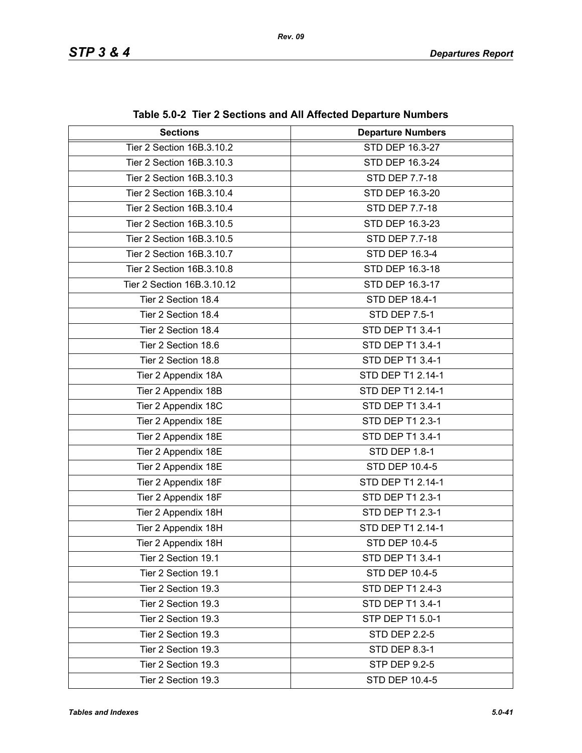| <b>Sections</b>            | <b>Departure Numbers</b> |  |
|----------------------------|--------------------------|--|
| Tier 2 Section 16B.3.10.2  | STD DEP 16.3-27          |  |
| Tier 2 Section 16B.3.10.3  | STD DEP 16.3-24          |  |
| Tier 2 Section 16B.3.10.3  | STD DEP 7.7-18           |  |
| Tier 2 Section 16B.3.10.4  | STD DEP 16.3-20          |  |
| Tier 2 Section 16B.3.10.4  | STD DEP 7.7-18           |  |
| Tier 2 Section 16B.3.10.5  | STD DEP 16.3-23          |  |
| Tier 2 Section 16B.3.10.5  | STD DEP 7.7-18           |  |
| Tier 2 Section 16B.3.10.7  | STD DEP 16.3-4           |  |
| Tier 2 Section 16B.3.10.8  | STD DEP 16.3-18          |  |
| Tier 2 Section 16B.3.10.12 | STD DEP 16.3-17          |  |
| Tier 2 Section 18.4        | STD DEP 18.4-1           |  |
| Tier 2 Section 18.4        | <b>STD DEP 7.5-1</b>     |  |
| Tier 2 Section 18.4        | STD DEP T1 3.4-1         |  |
| Tier 2 Section 18.6        | STD DEP T1 3.4-1         |  |
| Tier 2 Section 18.8        | STD DEP T1 3.4-1         |  |
| Tier 2 Appendix 18A        | STD DEP T1 2.14-1        |  |
| Tier 2 Appendix 18B        | STD DEP T1 2.14-1        |  |
| Tier 2 Appendix 18C        | STD DEP T1 3.4-1         |  |
| Tier 2 Appendix 18E        | STD DEP T1 2.3-1         |  |
| Tier 2 Appendix 18E        | STD DEP T1 3.4-1         |  |
| Tier 2 Appendix 18E        | <b>STD DEP 1.8-1</b>     |  |
| Tier 2 Appendix 18E        | STD DEP 10.4-5           |  |
| Tier 2 Appendix 18F        | STD DEP T1 2.14-1        |  |
| Tier 2 Appendix 18F        | STD DEP T1 2.3-1         |  |
| Tier 2 Appendix 18H        | STD DEP T1 2.3-1         |  |
| Tier 2 Appendix 18H        | STD DEP T1 2.14-1        |  |
| Tier 2 Appendix 18H        | STD DEP 10.4-5           |  |
| Tier 2 Section 19.1        | STD DEP T1 3.4-1         |  |
| Tier 2 Section 19.1        | <b>STD DEP 10.4-5</b>    |  |
| Tier 2 Section 19.3        | STD DEP T1 2.4-3         |  |
| Tier 2 Section 19.3        | STD DEP T1 3.4-1         |  |
| Tier 2 Section 19.3        | STP DEP T1 5.0-1         |  |
| Tier 2 Section 19.3        | <b>STD DEP 2.2-5</b>     |  |
| Tier 2 Section 19.3        | <b>STD DEP 8.3-1</b>     |  |
| Tier 2 Section 19.3        | <b>STP DEP 9.2-5</b>     |  |
| Tier 2 Section 19.3        | STD DEP 10.4-5           |  |

**Table 5.0-2 Tier 2 Sections and All Affected Departure Numbers**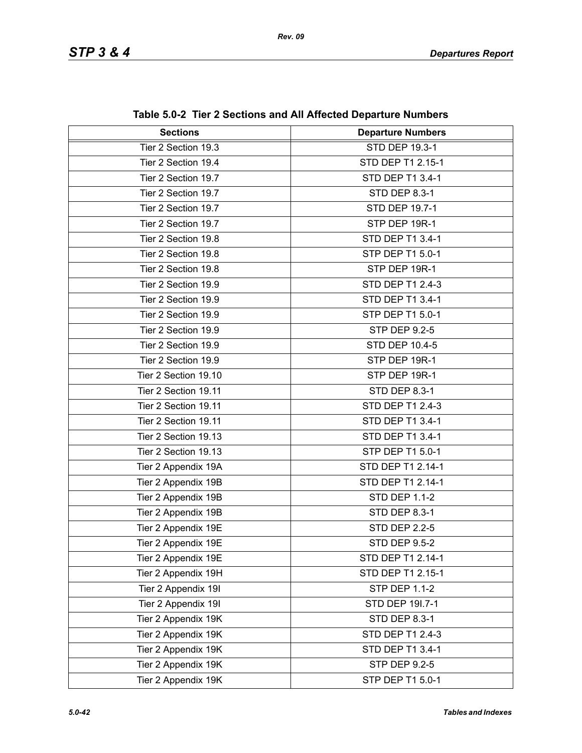| <b>Sections</b>      | <b>Departure Numbers</b> |  |
|----------------------|--------------------------|--|
| Tier 2 Section 19.3  | <b>STD DEP 19.3-1</b>    |  |
| Tier 2 Section 19.4  | STD DEP T1 2.15-1        |  |
| Tier 2 Section 19.7  | STD DEP T1 3.4-1         |  |
| Tier 2 Section 19.7  | <b>STD DEP 8.3-1</b>     |  |
| Tier 2 Section 19.7  | STD DEP 19.7-1           |  |
| Tier 2 Section 19.7  | STP DEP 19R-1            |  |
| Tier 2 Section 19.8  | STD DEP T1 3.4-1         |  |
| Tier 2 Section 19.8  | STP DEP T1 5.0-1         |  |
| Tier 2 Section 19.8  | STP DEP 19R-1            |  |
| Tier 2 Section 19.9  | STD DEP T1 2.4-3         |  |
| Tier 2 Section 19.9  | STD DEP T1 3.4-1         |  |
| Tier 2 Section 19.9  | STP DEP T1 5.0-1         |  |
| Tier 2 Section 19.9  | <b>STP DEP 9.2-5</b>     |  |
| Tier 2 Section 19.9  | STD DEP 10.4-5           |  |
| Tier 2 Section 19.9  | STP DEP 19R-1            |  |
| Tier 2 Section 19.10 | STP DEP 19R-1            |  |
| Tier 2 Section 19.11 | <b>STD DEP 8.3-1</b>     |  |
| Tier 2 Section 19.11 | STD DEP T1 2.4-3         |  |
| Tier 2 Section 19.11 | STD DEP T1 3.4-1         |  |
| Tier 2 Section 19.13 | STD DEP T1 3.4-1         |  |
| Tier 2 Section 19.13 | STP DEP T1 5.0-1         |  |
| Tier 2 Appendix 19A  | STD DEP T1 2.14-1        |  |
| Tier 2 Appendix 19B  | STD DEP T1 2.14-1        |  |
| Tier 2 Appendix 19B  | <b>STD DEP 1.1-2</b>     |  |
| Tier 2 Appendix 19B  | <b>STD DEP 8.3-1</b>     |  |
| Tier 2 Appendix 19E  | <b>STD DEP 2.2-5</b>     |  |
| Tier 2 Appendix 19E  | <b>STD DEP 9.5-2</b>     |  |
| Tier 2 Appendix 19E  | STD DEP T1 2.14-1        |  |
| Tier 2 Appendix 19H  | STD DEP T1 2.15-1        |  |
| Tier 2 Appendix 19I  | <b>STP DEP 1.1-2</b>     |  |
| Tier 2 Appendix 19I  | STD DEP 191.7-1          |  |
| Tier 2 Appendix 19K  | STD DEP 8.3-1            |  |
| Tier 2 Appendix 19K  | STD DEP T1 2.4-3         |  |
| Tier 2 Appendix 19K  | STD DEP T1 3.4-1         |  |
| Tier 2 Appendix 19K  | <b>STP DEP 9.2-5</b>     |  |
| Tier 2 Appendix 19K  | STP DEP T1 5.0-1         |  |

**Table 5.0-2 Tier 2 Sections and All Affected Departure Numbers**